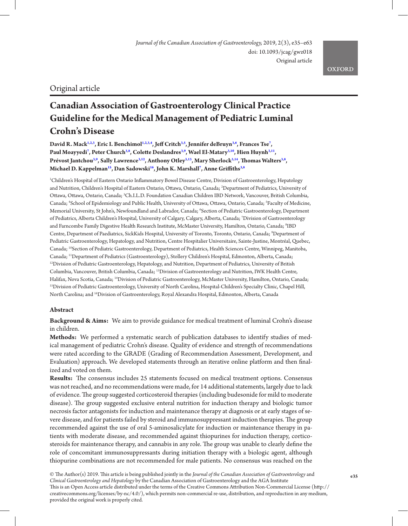*Journal of the Canadian Association of Gastroenterology,* 2019, 2(3), e35–e63 doi: 10.1093/jcag/gwz018 Original article

# Original article

# **Canadian Association of Gastroenterology Clinical Practice Guideline for the Medical Management of Pediatric Luminal Crohn's Disease**

David R. Mack<sup>[1,](#page-0-0)[2](#page-0-1)[,3](#page-0-2)</sup>, Eric I. Benchimol<sup>1[,2](#page-0-1),[3](#page-0-2)[,4](#page-0-3)</sup>, Jeff Critch<sup>3,[5](#page-0-4)</sup>, Jennifer deBruyn<sup>3,[6](#page-0-5)</sup>, Frances Tse<sup>[7](#page-0-6)</sup>, **Paul Moayyed[i7](#page-0-6) , Peter Churc[h3](#page-0-2)[,8](#page-0-7) , Colette Deslandres[3,](#page-0-2)[9](#page-0-8) , Wael El-Matar[y3](#page-0-2),[10](#page-0-9), Hien Huyn[h3](#page-0-2),[11,](#page-0-10)**  Prévost Jantchou<sup>[3,](#page-0-2)[9](#page-0-8)</sup>, Sally Lawrence<sup>3,12</sup>, Anthony Otley<sup>3[,13](#page-0-12)</sup>, Mary Sherlock<sup>3,14</sup>, Thomas Walters<sup>3,[8](#page-0-7)</sup>, **Michael D. Kappelma[n15,](#page-0-14) Dan Sadowski[16,](#page-0-15) John K. Marshal[l7](#page-0-6) , Anne Griffith[s3](#page-0-2)[,8](#page-0-7)**

<span id="page-0-8"></span><span id="page-0-7"></span><span id="page-0-6"></span><span id="page-0-5"></span><span id="page-0-4"></span><span id="page-0-3"></span><span id="page-0-2"></span><span id="page-0-1"></span><span id="page-0-0"></span>1 Children's Hospital of Eastern Ontario Inflammatory Bowel Disease Centre, Division of Gastroenterology, Hepatology and Nutrition, Children's Hospital of Eastern Ontario, Ottawa, Ontario, Canada; 2 Department of Pediatrics, University of Ottawa, Ottawa, Ontario, Canada; 3 Ch.I.L.D. Foundation Canadian Children IBD Network, Vancouver, British Columbia, Canada; 4 School of Epidemiology and Public Health, University of Ottawa, Ottawa, Ontario, Canada; 5 Faculty of Medicine, Memorial University, St John's, Newfoundland and Labrador, Canada; 6 Section of Pediatric Gastroenterology, Department of Pediatrics, Alberta Children's Hospital, University of Calgary, Calgary, Alberta, Canada; 7 Division of Gastroenterology and Farncombe Family Digestive Health Research Institute, McMaster University, Hamilton, Ontario, Canada;  $^{\rm 8}$ IBD Centre, Department of Paediatrics, SickKids Hospital, University of Toronto, Toronto, Ontario, Canada; 9 Department of Pediatric Gastroenterology, Hepatology, and Nutrition, Centre Hospitalier Universitaire, Sainte-Justine, Montréal, Quebec, Canada; 10Section of Pediatric Gastroenterology, Department of Pediatrics, Health Sciences Centre, Winnipeg, Manitoba, Canada; 11Department of Pediatrics (Gastroenterology), Stollery Children's Hospital, Edmonton, Alberta, Canada; <sup>12</sup>Division of Pediatric Gastroenterology, Hepatology, and Nutrition, Department of Pediatrics, University of British Columbia, Vancouver, British Columbia, Canada; 13Division of Gastroenterology and Nutrition, IWK Health Centre, Halifax, Nova Scotia, Canada; 14Division of Pediatric Gastroenterology, McMaster University, Hamilton, Ontario, Canada; <sup>15</sup>Division of Pediatric Gastroenterology, University of North Carolina, Hospital-Children's Specialty Clinic, Chapel Hill, North Carolina; and 16Division of Gastroenterology, Royal Alexandra Hospital, Edmonton, Alberta, Canada

#### <span id="page-0-15"></span><span id="page-0-14"></span><span id="page-0-13"></span><span id="page-0-12"></span><span id="page-0-11"></span><span id="page-0-10"></span><span id="page-0-9"></span>**Abstract**

**Background & Aims:** We aim to provide guidance for medical treatment of luminal Crohn's disease in children.

**Methods:** We performed a systematic search of publication databases to identify studies of medical management of pediatric Crohn's disease. Quality of evidence and strength of recommendations were rated according to the GRADE (Grading of Recommendation Assessment, Development, and Evaluation) approach. We developed statements through an iterative online platform and then finalized and voted on them.

**Results:** The consensus includes 25 statements focused on medical treatment options. Consensus was not reached, and no recommendations were made, for 14 additional statements, largely due to lack of evidence. The group suggested corticosteroid therapies (including budesonide for mild to moderate disease). The group suggested exclusive enteral nutrition for induction therapy and biologic tumor necrosis factor antagonists for induction and maintenance therapy at diagnosis or at early stages of severe disease, and for patients failed by steroid and immunosuppressant induction therapies. The group recommended against the use of oral 5-aminosalicylate for induction or maintenance therapy in patients with moderate disease, and recommended against thiopurines for induction therapy, corticosteroids for maintenance therapy, and cannabis in any role. The group was unable to clearly define the role of concomitant immunosuppressants during initiation therapy with a biologic agent, although thiopurine combinations are not recommended for male patients. No consensus was reached on the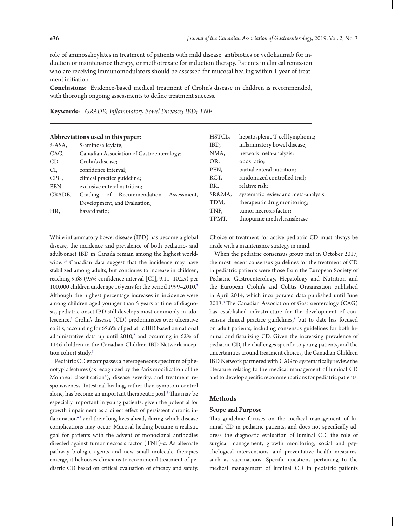role of aminosalicylates in treatment of patients with mild disease, antibiotics or vedolizumab for induction or maintenance therapy, or methotrexate for induction therapy. Patients in clinical remission who are receiving immunomodulators should be assessed for mucosal healing within 1 year of treatment initiation.

**Conclusions:** Evidence-based medical treatment of Crohn's disease in children is recommended, with thorough ongoing assessments to define treatment success.

**Keywords:** *GRADE; Inflammatory Bowel Diseases; IBD; TNF*

|           | Abbreviations used in this paper:              | HSTCL, | hepatosplenic T-cell lymphoma;       |
|-----------|------------------------------------------------|--------|--------------------------------------|
| $5-ASA$ , | 5-aminosalicylate;                             | IBD,   | inflammatory bowel disease;          |
| CAG,      | Canadian Association of Gastroenterology;      | NMA,   | network meta-analysis;               |
| CD,       | Crohn's disease;                               | OR,    | odds ratio;                          |
| CI,       | confidence interval;                           | PEN,   | partial enteral nutrition;           |
| CPG,      | clinical practice guideline;                   | RCT,   | randomized controlled trial;         |
| EEN,      | exclusive enteral nutrition;                   | RR,    | relative risk;                       |
| GRADE,    | Recommendation<br>Grading<br>of<br>Assessment, | SR&MA, | systematic review and meta-analysis; |
|           | Development, and Evaluation;                   | TDM,   | therapeutic drug monitoring;         |
| HR,       | hazard ratio;                                  | TNF,   | tumor necrosis factor;               |
|           |                                                | TPMT,  | thiopurine methyltransferase         |

While inflammatory bowel disease (IBD) has become a global disease, the incidence and prevalence of both pediatric- and adult-onset IBD in Canada remain among the highest world-wide.<sup>[1](#page-24-0),[2](#page-24-1)</sup> Canadian data suggest that the incidence may have stabilized among adults, but continues to increase in children, reaching 9.68 (95% confidence interval [CI], 9.11–10.25) per 100,000 children under age 16 years for the period 1999–2010.[2](#page-24-1) Although the highest percentage increases in incidence were among children aged younger than 5 years at time of diagnosis, pediatric-onset IBD still develops most commonly in ado-lescence.<sup>[2](#page-24-1)</sup> Crohn's disease (CD) predominates over ulcerative colitis, accounting for 65.6% of pediatric IBD based on national administrative data up until [2](#page-24-1)010, $^2$  and occurring in 62% of 1146 children in the Canadian Children IBD Network incep-tion cohort study.<sup>[3](#page-24-2)</sup>

Pediatric CD encompasses a heterogeneous spectrum of phenotypic features (as recognized by the Paris modification of the Montreal classification $^4$ ), disease severity, and treatment responsiveness. Intestinal healing, rather than symptom control alone, has become an important therapeutic goal.<sup>[5](#page-24-4)</sup> This may be especially important in young patients, given the potential for growth impairment as a direct effect of persistent chronic in-flammation<sup>[6](#page-24-5),[7](#page-24-6)</sup> and their long lives ahead, during which disease complications may occur. Mucosal healing became a realistic goal for patients with the advent of monoclonal antibodies directed against tumor necrosis factor (TNF)-α. As alternate pathway biologic agents and new small molecule therapies emerge, it behooves clinicians to recommend treatment of pediatric CD based on critical evaluation of efficacy and safety.

Choice of treatment for active pediatric CD must always be made with a maintenance strategy in mind.

When the pediatric consensus group met in October 2017, the most recent consensus guidelines for the treatment of CD in pediatric patients were those from the European Society of Pediatric Gastroenterology, Hepatology and Nutrition and the European Crohn's and Colitis Organization published in April 2014, which incorporated data published until June 2013.<sup>[8](#page-24-7)</sup> The Canadian Association of Gastroenterology (CAG) has established infrastructure for the development of con-sensus clinical practice guidelines,<sup>[9](#page-24-8)</sup> but to date has focused on adult patients, including consensus guidelines for both luminal and fistulizing CD. Given the increasing prevalence of pediatric CD, the challenges specific to young patients, and the uncertainties around treatment choices, the Canadian Children IBD Network partnered with CAG to systematically review the literature relating to the medical management of luminal CD and to develop specific recommendations for pediatric patients.

# **Methods**

#### Scope and Purpose

This guideline focuses on the medical management of luminal CD in pediatric patients, and does not specifically address the diagnostic evaluation of luminal CD, the role of surgical management, growth monitoring, social and psychological interventions, and preventative health measures, such as vaccinations. Specific questions pertaining to the medical management of luminal CD in pediatric patients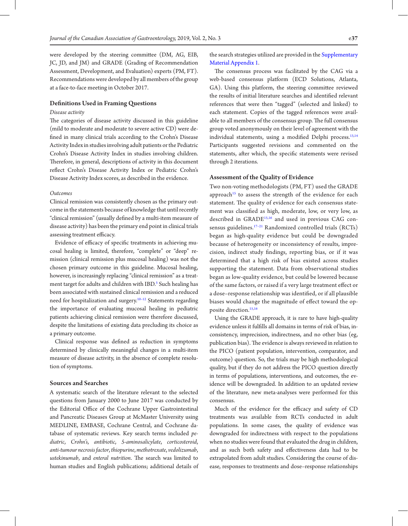were developed by the steering committee (DM, AG, EIB, JC, JD, and JM) and GRADE (Grading of Recommendation Assessment, Development, and Evaluation) experts (PM, FT). Recommendations were developed by all members of the group at a face-to-face meeting in October 2017.

### Definitions Used in Framing Questions

#### *Disease activity*

The categories of disease activity discussed in this guideline (mild to moderate and moderate to severe active CD) were defined in many clinical trials according to the Crohn's Disease Activity Index in studies involving adult patients or the Pediatric Crohn's Disease Activity Index in studies involving children. Therefore, in general, descriptions of activity in this document reflect Crohn's Disease Activity Index or Pediatric Crohn's Disease Activity Index scores, as described in the evidence.

#### *Outcomes*

Clinical remission was consistently chosen as the primary outcome in the statements because of knowledge that until recently "clinical remission" (usually defined by a multi-item measure of disease activity) has been the primary end point in clinical trials assessing treatment efficacy.

Evidence of efficacy of specific treatments in achieving mucosal healing is limited, therefore, "complete" or "deep" remission (clinical remission plus mucosal healing) was not the chosen primary outcome in this guideline. Mucosal healing, however, is increasingly replacing "clinical remission" as a treat-ment target for adults and children with IBD.<sup>[5](#page-24-4)</sup> Such healing has been associated with sustained clinical remission and a reduced need for hospitalization and surgery.10–12 Statements regarding the importance of evaluating mucosal healing in pediatric patients achieving clinical remission were therefore discussed, despite the limitations of existing data precluding its choice as a primary outcome.

Clinical response was defined as reduction in symptoms determined by clinically meaningful changes in a multi-item measure of disease activity, in the absence of complete resolution of symptoms.

#### Sources and Searches

A systematic search of the literature relevant to the selected questions from January 2000 to June 2017 was conducted by the Editorial Office of the Cochrane Upper Gastrointestinal and Pancreatic Diseases Group at McMaster University using MEDLINE, EMBASE, Cochrane Central, and Cochrane database of systematic reviews. Key search terms included *pediatric*, *Crohn's*, *antibiotic*, *5-aminosalicylate*, *corticosteroid*, *anti-tumour necrosis factor*, *thiopurine*, *methotrexate*, *vedolizumab*, *ustekinumab*, and *enteral nutrition*. The search was limited to human studies and English publications; additional details of the search strategies utilized are provided in the [Supplementary](http://academic.oup.com/jcag/article-lookup/doi/10.1093/jcag/gwz018#supplementary-data)  [Material Appendix 1](http://academic.oup.com/jcag/article-lookup/doi/10.1093/jcag/gwz018#supplementary-data).

The consensus process was facilitated by the CAG via a web-based consensus platform (ECD Solutions, Atlanta, GA). Using this platform, the steering committee reviewed the results of initial literature searches and identified relevant references that were then "tagged" (selected and linked) to each statement. Copies of the tagged references were available to all members of the consensus group. The full consensus group voted anonymously on their level of agreement with the individual statements, using a modified Delphi process.<sup>13,[14](#page-25-1)</sup> Participants suggested revisions and commented on the statements, after which, the specific statements were revised through 2 iterations.

# Assessment of the Quality of Evidence

Two non-voting methodologists (PM, FT) used the GRADE approach<sup>[15](#page-25-2)</sup> to assess the strength of the evidence for each statement. The quality of evidence for each consensus statement was classified as high, moderate, low, or very low, as described in GRADE<sup>[15](#page-25-2),[16](#page-25-3)</sup> and used in previous CAG consensus guidelines.17–21 Randomized controlled trials (RCTs) began as high-quality evidence but could be downgraded because of heterogeneity or inconsistency of results, imprecision, indirect study findings, reporting bias, or if it was determined that a high risk of bias existed across studies supporting the statement. Data from observational studies began as low-quality evidence, but could be lowered because of the same factors, or raised if a very large treatment effect or a dose–response relationship was identified, or if all plausible biases would change the magnitude of effect toward the op-posite direction.<sup>[15](#page-25-2),[16](#page-25-3)</sup>

Using the GRADE approach, it is rare to have high-quality evidence unless it fulfills all domains in terms of risk of bias, inconsistency, imprecision, indirectness, and no other bias (eg, publication bias). The evidence is always reviewed in relation to the PICO (patient population, intervention, comparator, and outcome) question. So, the trials may be high methodological quality, but if they do not address the PICO question directly in terms of populations, interventions, and outcomes, the evidence will be downgraded. In addition to an updated review of the literature, new meta-analyses were performed for this consensus.

Much of the evidence for the efficacy and safety of CD treatments was available from RCTs conducted in adult populations. In some cases, the quality of evidence was downgraded for indirectness with respect to the populations when no studies were found that evaluated the drug in children, and as such both safety and effectiveness data had to be extrapolated from adult studies. Considering the course of disease, responses to treatments and dose–response relationships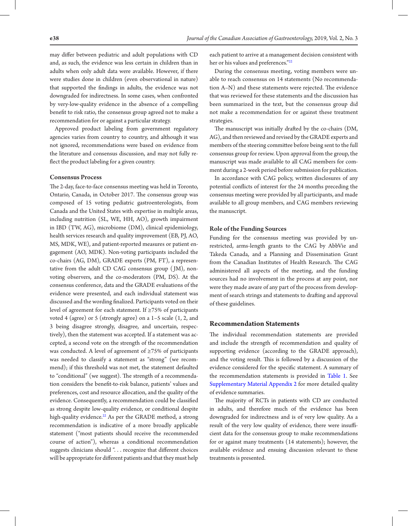may differ between pediatric and adult populations with CD and, as such, the evidence was less certain in children than in adults when only adult data were available. However, if there were studies done in children (even observational in nature) that supported the findings in adults, the evidence was not downgraded for indirectness. In some cases, when confronted by very-low-quality evidence in the absence of a compelling benefit to risk ratio, the consensus group agreed not to make a recommendation for or against a particular strategy.

Approved product labeling from government regulatory agencies varies from country to country, and although it was not ignored, recommendations were based on evidence from the literature and consensus discussion, and may not fully reflect the product labeling for a given country.

#### Consensus Process

The 2-day, face-to-face consensus meeting was held in Toronto, Ontario, Canada, in October 2017. The consensus group was composed of 15 voting pediatric gastroenterologists, from Canada and the United States with expertise in multiple areas, including nutrition (SL, WE, HH, AO), growth impairment in IBD (TW, AG), microbiome (DM), clinical epidemiology, health services research and quality improvement (EB, PJ, AO, MS, MDK, WE), and patient-reported measures or patient engagement (AO, MDK). Non-voting participants included the co-chairs (AG, DM), GRADE experts (PM, FT), a representative from the adult CD CAG consensus group (JM), nonvoting observers, and the co-moderators (PM, DS). At the consensus conference, data and the GRADE evaluations of the evidence were presented, and each individual statement was discussed and the wording finalized. Participants voted on their level of agreement for each statement. If ≥75% of participants voted 4 (agree) or 5 (strongly agree) on a 1–5 scale (1, 2, and 3 being disagree strongly, disagree, and uncertain, respectively), then the statement was accepted. If a statement was accepted, a second vote on the strength of the recommendation was conducted. A level of agreement of ≥75% of participants was needed to classify a statement as "strong" (we recommend); if this threshold was not met, the statement defaulted to "conditional" (we suggest). The strength of a recommendation considers the benefit-to-risk balance, patients' values and preferences, cost and resource allocation, and the quality of the evidence. Consequently, a recommendation could be classified as strong despite low-quality evidence, or conditional despite high-quality evidence.<sup>22</sup> As per the GRADE method, a strong recommendation is indicative of a more broadly applicable statement ("most patients should receive the recommended course of action"), whereas a conditional recommendation suggests clinicians should ". . . recognize that different choices will be appropriate for different patients and that they must help

each patient to arrive at a management decision consistent with her or his values and preferences."[22](#page-25-4)

During the consensus meeting, voting members were unable to reach consensus on 14 statements (No recommendation A–N) and these statements were rejected. The evidence that was reviewed for these statements and the discussion has been summarized in the text, but the consensus group did not make a recommendation for or against these treatment strategies.

The manuscript was initially drafted by the co-chairs (DM, AG), and then reviewed and revised by the GRADE experts and members of the steering committee before being sent to the full consensus group for review. Upon approval from the group, the manuscript was made available to all CAG members for comment during a 2-week period before submission for publication.

In accordance with CAG policy, written disclosures of any potential conflicts of interest for the 24 months preceding the consensus meeting were provided by all participants, and made available to all group members, and CAG members reviewing the manuscript.

# Role of the Funding Sources

Funding for the consensus meeting was provided by unrestricted, arms-length grants to the CAG by AbbVie and Takeda Canada, and a Planning and Dissemination Grant from the Canadian Institutes of Health Research. The CAG administered all aspects of the meeting, and the funding sources had no involvement in the process at any point, nor were they made aware of any part of the process from development of search strings and statements to drafting and approval of these guidelines.

# **Recommendation Statements**

The individual recommendation statements are provided and include the strength of recommendation and quality of supporting evidence (according to the GRADE approach), and the voting result. This is followed by a discussion of the evidence considered for the specific statement. A summary of the recommendation statements is provided in [Table 1.](#page-4-0) See [Supplementary Material Appendix 2](http://academic.oup.com/jcag/article-lookup/doi/10.1093/jcag/gwz018#supplementary-data) for more detailed quality of evidence summaries.

The majority of RCTs in patients with CD are conducted in adults, and therefore much of the evidence has been downgraded for indirectness and is of very low quality. As a result of the very low quality of evidence, there were insufficient data for the consensus group to make recommendations for or against many treatments (14 statements); however, the available evidence and ensuing discussion relevant to these treatments is presented.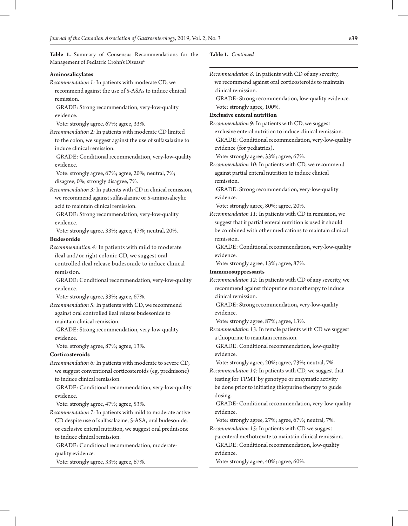<span id="page-4-0"></span>**Table 1.** Summary of Consensus Recommendations for the Management of Pediatric Crohn's Diseasea

# **Aminosalicylates**

- *Recommendation 1:* In patients with moderate CD, we recommend against the use of 5-ASAs to induce clinical remission.
	- GRADE: Strong recommendation, very-low-quality evidence.
	- Vote: strongly agree, 67%; agree, 33%.
- *Recommendation 2:* In patients with moderate CD limited to the colon, we suggest against the use of sulfasalazine to induce clinical remission.
	- GRADE: Conditional recommendation, very-low-quality evidence.
	- Vote: strongly agree, 67%; agree, 20%; neutral, 7%; disagree, 0%; strongly disagree, 7%.
- *Recommendation 3:* In patients with CD in clinical remission, we recommend against sulfasalazine or 5-aminosalicylic acid to maintain clinical remission.
- GRADE: Strong recommendation, very-low-quality evidence.
- Vote: strongly agree, 33%; agree, 47%; neutral, 20%. **Budesonide**
- *Recommendation 4:* In patients with mild to moderate ileal and/or right colonic CD, we suggest oral controlled ileal release budesonide to induce clinical remission.
	- GRADE: Conditional recommendation, very-low-quality evidence.
	- Vote: strongly agree, 33%; agree, 67%.
- *Recommendation 5:* In patients with CD, we recommend against oral controlled ileal release budesonide to maintain clinical remission.
	- GRADE: Strong recommendation, very-low-quality evidence.
- Vote: strongly agree, 87%; agree, 13%.

# **Corticosteroids**

- *Recommendation 6:* In patients with moderate to severe CD, we suggest conventional corticosteroids (eg, prednisone) to induce clinical remission.
	- GRADE: Conditional recommendation, very-low-quality evidence.

Vote: strongly agree, 47%; agree, 53%.

- *Recommendation 7:* In patients with mild to moderate active CD despite use of sulfasalazine, 5-ASA, oral budesonide, or exclusive enteral nutrition, we suggest oral prednisone to induce clinical remission.
	- GRADE: Conditional recommendation, moderatequality evidence.
	- Vote: strongly agree, 33%; agree, 67%.

# **Table 1.** *Continued*

| Recommendation 8: In patients with CD of any severity,           |
|------------------------------------------------------------------|
| we recommend against oral corticosteroids to maintain            |
| clinical remission.                                              |
| GRADE: Strong recommendation, low-quality evidence.              |
| Vote: strongly agree, 100%.                                      |
| <b>Exclusive enteral nutrition</b>                               |
| Recommendation 9: In patients with CD, we suggest                |
| exclusive enteral nutrition to induce clinical remission.        |
| GRADE: Conditional recommendation, very-low-quality              |
|                                                                  |
| evidence (for pediatrics).                                       |
| Vote: strongly agree, 33%; agree, 67%.                           |
| Recommendation 10: In patients with CD, we recommend             |
| against partial enteral nutrition to induce clinical             |
| remission.                                                       |
| GRADE: Strong recommendation, very-low-quality                   |
| evidence.                                                        |
| Vote: strongly agree, 80%; agree, 20%.                           |
| Recommendation 11: In patients with CD in remission, we          |
| suggest that if partial enteral nutrition is used it should      |
| be combined with other medications to maintain clinical          |
| remission.                                                       |
| GRADE: Conditional recommendation, very-low-quality              |
| evidence.                                                        |
| Vote: strongly agree, 13%; agree, 87%.                           |
| Immunosuppressants                                               |
|                                                                  |
| Recommendation 12: In patients with CD of any severity, we       |
| recommend against thiopurine monotherapy to induce               |
| clinical remission.                                              |
| GRADE: Strong recommendation, very-low-quality                   |
| evidence.                                                        |
| Vote: strongly agree, 87%; agree, 13%.                           |
| Recommendation 13: In female patients with CD we suggest         |
| a thiopurine to maintain remission.                              |
| GRADE: Conditional recommendation, low-quality                   |
| evidence.                                                        |
| Vote: strongly agree, 20%; agree, 73%; neutral, 7%.              |
| Recommendation 14: In patients with CD, we suggest that          |
| testing for TPMT by genotype or enzymatic activity               |
| be done prior to initiating thiopurine therapy to guide          |
| dosing.                                                          |
|                                                                  |
| GRADE: Conditional recommendation, very-low-quality<br>evidence. |
|                                                                  |
| Vote: strongly agree, 27%; agree, 67%; neutral, 7%.              |
| Recommendation 15: In patients with CD we suggest                |
| parenteral methotrexate to maintain clinical remission.          |
| GRADE: Conditional recommendation, low-quality<br>evidence.      |

Vote: strongly agree, 40%; agree, 60%.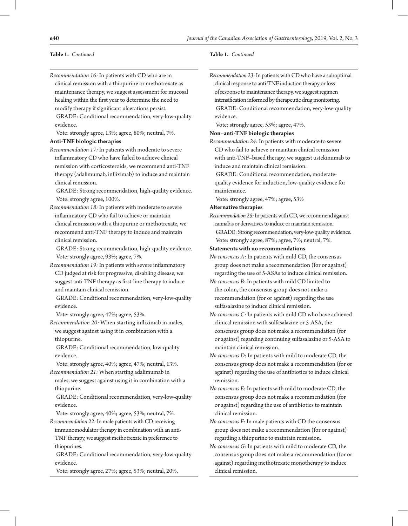# **Table 1.** *Continued* **Table 1.** *Continued*

*Recommendation 16:* In patients with CD who are in

clinical remission with a thiopurine or methotrexate as maintenance therapy, we suggest assessment for mucosal healing within the first year to determine the need to modify therapy if significant ulcerations persist.

GRADE: Conditional recommendation, very-low-quality evidence.

Vote: strongly agree, 13%; agree, 80%; neutral, 7%. **Anti-TNF biologic therapies**

*Recommendation 17:* In patients with moderate to severe inflammatory CD who have failed to achieve clinical remission with corticosteroids, we recommend anti-TNF therapy (adalimumab, infliximab) to induce and maintain clinical remission.

GRADE: Strong recommendation, high-quality evidence. Vote: strongly agree, 100%.

*Recommendation 18:* In patients with moderate to severe inflammatory CD who fail to achieve or maintain clinical remission with a thiopurine or methotrexate, we recommend anti-TNF therapy to induce and maintain clinical remission.

GRADE: Strong recommendation, high-quality evidence. Vote: strongly agree, 93%; agree, 7%.

*Recommendation 19:* In patients with severe inflammatory CD judged at risk for progressive, disabling disease, we suggest anti-TNF therapy as first-line therapy to induce and maintain clinical remission.

GRADE: Conditional recommendation, very-low-quality evidence.

Vote: strongly agree, 47%; agree, 53%.

*Recommendation 20:* When starting infliximab in males, we suggest against using it in combination with a thiopurine.

GRADE: Conditional recommendation, low-quality evidence.

Vote: strongly agree, 40%; agree, 47%; neutral, 13%. *Recommendation 21:* When starting adalimumab in

males, we suggest against using it in combination with a thiopurine.

GRADE: Conditional recommendation, very-low-quality evidence.

Vote: strongly agree, 40%; agree, 53%; neutral, 7%. *Recommendation 22:* In male patients with CD receiving

immunomodulator therapy in combination with an anti-TNF therapy, we suggest methotrexate in preference to thiopurines.

GRADE: Conditional recommendation, very-low-quality evidence.

Vote: strongly agree, 27%; agree, 53%; neutral, 20%.

*Recommendation 23:* In patients with CD who have a suboptimal clinical response to anti-TNF induction therapy or loss of response to maintenance therapy, we suggest regimen intensification informed by therapeutic drug monitoring. GRADE: Conditional recommendation, very-low-quality evidence. Vote: strongly agree, 53%; agree, 47%. **Non–anti-TNF biologic therapies** *Recommendation 24:* In patients with moderate to severe CD who fail to achieve or maintain clinical remission with anti-TNF–based therapy, we suggest ustekinumab to induce and maintain clinical remission. GRADE: Conditional recommendation, moderatequality evidence for induction, low-quality evidence for maintenance. Vote: strongly agree, 47%; agree, 53% **Alternative therapies** *Recommendation 25:* In patients with CD, we recommend against cannabis or derivatives to induce or maintain remission. GRADE: Strong recommendation, very-low-quality evidence. Vote: strongly agree, 87%; agree, 7%; neutral, 7%. **Statements with no recommendations** *No consensus A:* In patients with mild CD, the consensus group does not make a recommendation (for or against) regarding the use of 5-ASAs to induce clinical remission. *No consensus B:* In patients with mild CD limited to the colon, the consensus group does not make a recommendation (for or against) regarding the use sulfasalazine to induce clinical remission. *No consensus C:* In patients with mild CD who have achieved clinical remission with sulfasalazine or 5-ASA, the consensus group does not make a recommendation (for or against) regarding continuing sulfasalazine or 5-ASA to maintain clinical remission. *No consensus D:* In patients with mild to moderate CD, the consensus group does not make a recommendation (for or against) regarding the use of antibiotics to induce clinical remission. *No consensus E:* In patients with mild to moderate CD, the consensus group does not make a recommendation (for or against) regarding the use of antibiotics to maintain clinical remission. *No consensus F:* In male patients with CD the consensus group does not make a recommendation (for or against) regarding a thiopurine to maintain remission. *No consensus G:* In patients with mild to moderate CD, the consensus group does not make a recommendation (for or against) regarding methotrexate monotherapy to induce

clinical remission.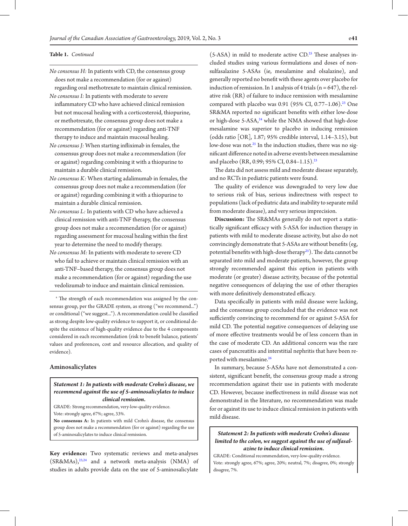#### **Table 1.** *Continued*

- *No consensus H:* In patients with CD, the consensus group does not make a recommendation (for or against) regarding oral methotrexate to maintain clinical remission.
- *No consensus I:* In patients with moderate to severe inflammatory CD who have achieved clinical remission but not mucosal healing with a corticosteroid, thiopurine, or methotrexate, the consensus group does not make a recommendation (for or against) regarding anti-TNF therapy to induce and maintain mucosal healing.
- *No consensus J:* When starting infliximab in females, the consensus group does not make a recommendation (for or against) regarding combining it with a thiopurine to maintain a durable clinical remission.
- *No consensus K:* When starting adalimumab in females, the consensus group does not make a recommendation (for or against) regarding combining it with a thiopurine to maintain a durable clinical remission.
- *No consensus L:* In patients with CD who have achieved a clinical remission with anti-TNF therapy, the consensus group does not make a recommendation (for or against) regarding assessment for mucosal healing within the first year to determine the need to modify therapy.
- *No consensus M:* In patients with moderate to severe CD who fail to achieve or maintain clinical remission with an anti-TNF–based therapy, the consensus group does not make a recommendation (for or against) regarding the use vedolizumab to induce and maintain clinical remission.

<sup>a</sup> The strength of each recommendation was assigned by the consensus group, per the GRADE system, as strong ("we recommend...") or conditional ("we suggest..."). A recommendation could be classified as strong despite low-quality evidence to support it, or conditional despite the existence of high-quality evidence due to the 4 components considered in each recommendation (risk to benefit balance, patients' values and preferences, cost and resource allocation, and quality of evidence).

# Aminosalicylates

*Statement 1: In patients with moderate Crohn's disease, we recommend against the use of 5-aminosalicylates to induce clinical remission.*

GRADE: Strong recommendation, very-low-quality evidence.

Vote: strongly agree, 67%; agree, 33%.

**No consensus A:** In patients with mild Crohn's disease, the consensus group does not make a recommendation (for or against) regarding the use of 5-aminosalicylates to induce clinical remission.

**Key evidence:** Two systematic reviews and meta-analyses  $(SR&MAs)$ ,<sup>[23](#page-25-5),24</sup> and a network meta-analysis  $(NMA)$  of studies in adults provide data on the use of 5-aminosalicylate

 $(5-ASA)$  in mild to moderate active  $CD<sup>25</sup>$  These analyses included studies using various formulations and doses of nonsulfasalazine 5-ASAs (ie, mesalamine and olsalazine), and generally reported no benefit with these agents over placebo for induction of remission. In 1 analysis of 4 trials  $(n = 647)$ , the relative risk (RR) of failure to induce remission with mesalamine compared with placebo was 0.91 (95% CI, 0.77-1.06).<sup>[23](#page-25-5)</sup> One SR&MA reported no significant benefits with either low-dose or high-dose 5-ASA,<sup>24</sup> while the NMA showed that high-dose mesalamine was superior to placebo in inducing remission (odds ratio [OR], 1.87; 95% credible interval, 1.14–3.15), but low-dose was not. $25$  In the induction studies, there was no significant difference noted in adverse events between mesalamine and placebo (RR, 0.99; 95% CI, 0.84-1.15).<sup>23</sup>

The data did not assess mild and moderate disease separately, and no RCTs in pediatric patients were found.

The quality of evidence was downgraded to very low due to serious risk of bias, serious indirectness with respect to populations (lack of pediatric data and inability to separate mild from moderate disease), and very serious imprecision.

**Discussion:** The SR&MAs generally do not report a statistically significant efficacy with 5-ASA for induction therapy in patients with mild to moderate disease activity, but also do not convincingly demonstrate that 5-ASAs are without benefits (eg, potential benefits with high-dose therapy<sup>[25](#page-25-7)</sup>). The data cannot be separated into mild and moderate patients, however, the group strongly recommended against this option in patients with moderate (or greater) disease activity, because of the potential negative consequences of delaying the use of other therapies with more definitively demonstrated efficacy.

Data specifically in patients with mild disease were lacking, and the consensus group concluded that the evidence was not sufficiently convincing to recommend for or against 5-ASA for mild CD. The potential negative consequences of delaying use of more effective treatments would be of less concern than in the case of moderate CD. An additional concern was the rare cases of pancreatitis and interstitial nephritis that have been re-ported with mesalamine.<sup>[26](#page-25-8)</sup>

In summary, because 5-ASAs have not demonstrated a consistent, significant benefit, the consensus group made a strong recommendation against their use in patients with moderate CD. However, because ineffectiveness in mild disease was not demonstrated in the literature, no recommendation was made for or against its use to induce clinical remission in patients with mild disease.

# *Statement 2: In patients with moderate Crohn's disease limited to the colon, we suggest against the use of sulfasalazine to induce clinical remission.*

GRADE: Conditional recommendation, very-low-quality evidence. Vote: strongly agree, 67%; agree, 20%; neutral, 7%; disagree, 0%; strongly disagree, 7%.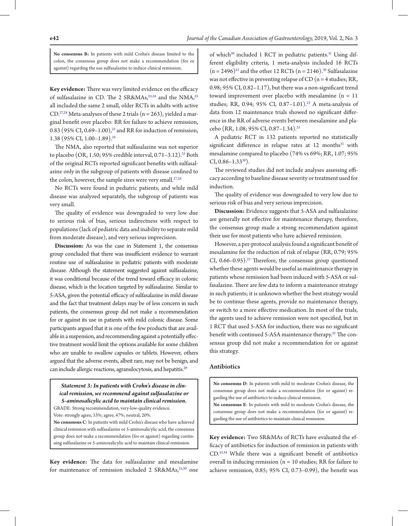**No consensus B:** In patients with mild Crohn's disease limited to the colon, the consensus group does not make a recommendation (for or against) regarding the use sulfasalazine to induce clinical remission.

**Key evidence:** There was very limited evidence on the efficacy of sulfasalazine in CD. The 2 SR&MAs,<sup>[23](#page-25-5),[24](#page-25-6)</sup> and the NMA,<sup>25</sup> all included the same 2 small, older RCTs in adults with active CD.<sup>[27](#page-25-9),[28](#page-25-10)</sup> Meta-analyses of these 2 trials ( $n = 263$ ), yielded a marginal benefit over placebo: RR for failure to achieve remission, 0.83 (95% CI, 0.69–1.00),<sup>[23](#page-25-5)</sup> and RR for induction of remission, 1.38 (95% CI, 1.00–1.89).[24](#page-25-6)

The NMA, also reported that sulfasalazine was not superior to placebo (OR, 1.50; 95% credible interval,  $0.71-3.12$ ).<sup>[25](#page-25-7)</sup> Both of the original RCTs reported significant benefits with sulfasalazine only in the subgroup of patients with disease confined to the colon, however, the sample sizes were very small.<sup>[27](#page-25-9),[28](#page-25-10)</sup>

No RCTs were found in pediatric patients, and while mild disease was analyzed separately, the subgroup of patients was very small.

The quality of evidence was downgraded to very low due to serious risk of bias, serious indirectness with respect to populations (lack of pediatric data and inability to separate mild from moderate disease), and very serious imprecision.

**Discussion:** As was the case in Statement 1, the consensus group concluded that there was insufficient evidence to warrant routine use of sulfasalazine in pediatric patients with moderate disease. Although the statement suggested against sulfasalazine, it was conditional because of the trend toward efficacy in colonic disease, which is the location targeted by sulfasalazine. Similar to 5-ASA, given the potential efficacy of sulfasalazine in mild disease and the fact that treatment delays may be of less concern in such patients, the consensus group did not make a recommendation for or against its use in patients with mild colonic disease. Some participants argued that it is one of the few products that are available in a suspension, and recommending against a potentially effective treatment would limit the options available for some children who are unable to swallow capsules or tablets. However, others argued that the adverse events, albeit rare, may not be benign, and can include allergic reactions, agranulocytosis, and hepatitis.<sup>29</sup>

# *Statement 3: In patients with Crohn's disease in clinical remission, we recommend against sulfasalazine or 5-aminosalicylic acid to maintain clinical remission.*

GRADE: Strong recommendation, very-low-quality evidence. Vote: strongly agree, 33%; agree, 47%; neutral, 20%.

**No consensus C**: In patients with mild Crohn's disease who have achieved clinical remission with sulfasalazine or 5-aminosalicylic acid, the consensus group does not make a recommendation (for or against) regarding continuing sulfasalazine or 5-aminosalicylic acid to maintain clinical remission.

**Key evidence:** The data for sulfasalazine and mesalamine for maintenance of remission included 2  $SR&MAs$ <sup>23,[30](#page-25-12)</sup> one

of which<sup>30</sup> included 1 RCT in pediatric patients.<sup>[31](#page-25-13)</sup> Using different eligibility criteria, 1 meta-analysis included 16 RCTs  $(n = 2496)^{23}$  $(n = 2496)^{23}$  $(n = 2496)^{23}$  and the other 12 RCTs  $(n = 2146)^{30}$  Sulfasalazine was not effective in preventing relapse of CD ( $n = 4$  studies; RR, 0.98; 95% CI, 0.82–1.17), but there was a non-significant trend toward improvement over placebo with mesalamine  $(n = 11)$ studies; RR, 0.94; 95% CI, 0.87-1.01).<sup>23</sup> A meta-analysis of data from 12 maintenance trials showed no significant difference in the RR of adverse events between mesalamine and placebo (RR, 1.08; 95% CI, 0.87-1.34).<sup>23</sup>

A pediatric RCT in 132 patients reported no statistically significant difference in relapse rates at  $12$  months $31$  with mesalamine compared to placebo (74% vs 69%; RR, 1.07; 95% CI,  $0.86 - 1.33^{30}$ ).

The reviewed studies did not include analyses assessing efficacy according to baseline disease severity or treatment used for induction.

The quality of evidence was downgraded to very low due to serious risk of bias and very serious imprecision.

**Discussion:** Evidence suggests that 5-ASA and sulfasalazine are generally not effective for maintenance therapy, therefore, the consensus group made a strong recommendation against their use for most patients who have achieved remission.

However, a per-protocol analysis found a significant benefit of mesalamine for the reduction of risk of relapse (RR, 0.79; 95% CI, 0.66–0.95).[23](#page-25-5) Therefore, the consensus group questioned whether these agents would be useful as maintenance therapy in patients whose remission had been induced with 5-ASA or sulfasalazine. There are few data to inform a maintenance strategy in such patients; it is unknown whether the best strategy would be to continue these agents, provide no maintenance therapy, or switch to a more effective medication. In most of the trials, the agents used to achieve remission were not specified, but in 1 RCT that used 5-ASA for induction, there was no significant benefit with continued 5-ASA maintenance therapy.<sup>32</sup> The consensus group did not make a recommendation for or against this strategy.

#### Antibiotics

**No consensus D**: In patients with mild to moderate Crohn's disease, the consensus group does not make a recommendation (for or against) regarding the use of antibiotics to induce clinical remission. **No consensus E**: In patients with mild to moderate Crohn's disease, the consensus group does not make a recommendation (for or against) re-

garding the use of antibiotics to maintain clinical remission.

**Key evidence:** Two SR&MAs of RCTs have evaluated the efficacy of antibiotics for induction of remission in patients with CD.[33](#page-25-15),[34](#page-25-16) While there was a significant benefit of antibiotics overall in inducing remission ( $n = 10$  studies; RR for failure to achieve remission, 0.85; 95% CI, 0.73–0.99), the benefit was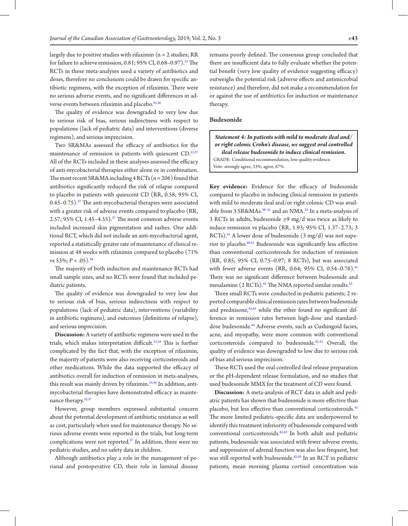largely due to positive studies with rifaximin ( $n = 2$  studies; RR for failure to achieve remission, 0.81; 95% CI, 0.68–0.97)[.33](#page-25-15) The RCTs in these meta-analyses used a variety of antibiotics and doses, therefore no conclusions could be drawn for specific antibiotic regimens, with the exception of rifaximin. There were no serious adverse events, and no significant differences in ad-verse events between rifaximin and placebo.<sup>[35](#page-25-17)[,36](#page-25-18)</sup>

The quality of evidence was downgraded to very low due to serious risk of bias, serious indirectness with respect to populations (lack of pediatric data) and interventions (diverse regimens), and serious imprecision.

Two SR&MAs assessed the efficacy of antibiotics for the maintenance of remission in patients with quiescent CD.<sup>33,[37](#page-25-19)</sup> All of the RCTs included in these analyses assessed the efficacy of anti-mycobacterial therapies either alone or in combination. The most recent SR&MA including  $4$  RCTs (n = 206) found that antibiotics significantly reduced the risk of relapse compared to placebo in patients with quiescent CD (RR, 0.58; 95% CI, 0.45–0.75).<sup>37</sup> The anti-mycobacterial therapies were associated with a greater risk of adverse events compared to placebo (RR, 2.57; 95% CI,  $1.45-4.55$ ).<sup>[37](#page-25-19)</sup> The most common adverse events included increased skin pigmentation and rashes. One additional RCT, which did not include an anti-mycobacterial agent, reported a statistically greater rate of maintenance of clinical remission at 48 weeks with rifaximin compared to placebo (71% vs 53%;  $P < .05$ ).<sup>[38](#page-25-20)</sup>

The majority of both induction and maintenance RCTs had small sample sizes, and no RCTs were found that included pediatric patients.

The quality of evidence was downgraded to very low due to serious risk of bias, serious indirectness with respect to populations (lack of pediatric data), interventions (variability in antibiotic regimens), and outcomes (definitions of relapse), and serious imprecision.

**Discussion:** A variety of antibiotic regimens were used in the trials, which makes interpretation difficult.[33,](#page-25-15)[34](#page-25-16) This is further complicated by the fact that, with the exception of rifaximin, the majority of patients were also receiving corticosteroids and other medications. While the data supported the efficacy of antibiotics overall for induction of remission in meta-analyses, this result was mainly driven by rifaximin.<sup>33,[34](#page-25-16)</sup> In addition, antimycobacterial therapies have demonstrated efficacy as maintenance therapy[.33,](#page-25-15)[37](#page-25-19)

However, group members expressed substantial concern about the potential development of antibiotic resistance as well as cost, particularly when used for maintenance therapy. No serious adverse events were reported in the trials, but long-term complications were not reported.<sup>[37](#page-25-19)</sup> In addition, there were no pediatric studies, and no safety data in children.

Although antibiotics play a role in the management of perianal and postoperative CD, their role in luminal disease remains poorly defined. The consensus group concluded that there are insufficient data to fully evaluate whether the potential benefit (very low quality of evidence suggesting efficacy) outweighs the potential risk (adverse effects and antimicrobial resistance) and therefore, did not make a recommendation for or against the use of antibiotics for induction or maintenance therapy.

#### Budesonide

*Statement 4: In patients with mild to moderate ileal and/ or right colonic Crohn's disease, we suggest oral controlled ileal release budesonide to induce clinical remission.* GRADE: Conditional recommendation, low-quality evidence. Vote: strongly agree, 33%; agree, 67%.

**Key evidence:** Evidence for the efficacy of budesonide compared to placebo in inducing clinical remission in patients with mild to moderate ileal and/or right colonic CD was available from 3 SR&MAs.<sup>39-41</sup> and an NMA.<sup>25</sup> In a meta-analysis of 3 RCTs in adults, budesonide ≥9 mg/d was twice as likely to induce remission vs placebo (RR, 1.93; 95% CI, 1.37–2.73; 3 RCTs).<sup>[41](#page-25-21)</sup> A lower dose of budesonide (3 mg/d) was not superior to placebo[.40,](#page-25-22)[41](#page-25-21) Budesonide was significantly less effective than conventional corticosteroids for induction of remission (RR, 0.85; 95% CI, 0.75–0.97; 8 RCTs), but was associated with fewer adverse events (RR, 0.64; 95% CI, 0.54-0.76).<sup>41</sup> There was no significant difference between budesonide and mesalamine (2 RCTs).<sup>41</sup> The NMA reported similar results.<sup>[25](#page-25-7)</sup>

Three small RCTs were conducted in pediatric patients; 2 reported comparable clinical remission rates between budesonide and prednisone, $42,43$  $42,43$  while the other found no significant difference in remission rates between high-dose and standarddose budesonide[.44](#page-25-25) Adverse events, such as Cushingoid facies, acne, and myopathy, were more common with conventional corticosteroids compared to budesonide[.42,](#page-25-23)[43](#page-25-24) Overall, the quality of evidence was downgraded to low due to serious risk of bias and serious imprecision.

These RCTs used the oral controlled ileal release preparation or the pH-dependent release formulation, and no studies that used budesonide MMX for the treatment of CD were found.

**Discussion:** A meta-analysis of RCT data in adult and pediatric patients has shown that budesonide is more effective than placebo, but less effective than conventional corticosteroids.<sup>41</sup> The more limited pediatric-specific data are underpowered to identify this treatment inferiority of budesonide compared with conventional corticosteroids[.42,](#page-25-23)[43](#page-25-24) In both adult and pediatric patients, budesonide was associated with fewer adverse events, and suppression of adrenal function was also less frequent, but was still reported with budesonide.<sup>42,45</sup> In an RCT in pediatric patients, mean morning plasma cortisol concentration was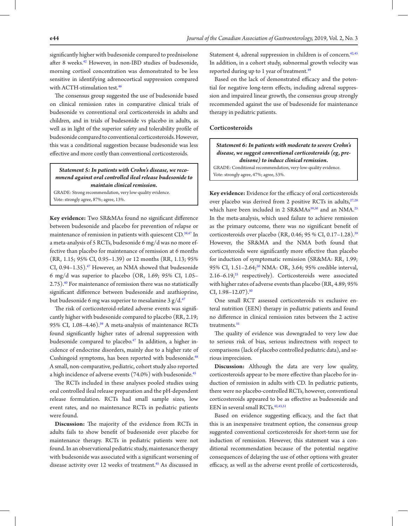significantly higher with budesonide compared to prednisolone after 8 weeks.<sup>42</sup> However, in non-IBD studies of budesonide, morning cortisol concentration was demonstrated to be less sensitive in identifying adrenocortical suppression compared with ACTH-stimulation test.<sup>[46](#page-25-27)</sup>

The consensus group suggested the use of budesonide based on clinical remission rates in comparative clinical trials of budesonide vs conventional oral corticosteroids in adults and children, and in trials of budesonide vs placebo in adults, as well as in light of the superior safety and tolerability profile of budesonide compared to conventional corticosteroids. However, this was a conditional suggestion because budesonide was less effective and more costly than conventional corticosteroids.

*Statement 5: In patients with Crohn's disease, we recommend against oral controlled ileal release budesonide to maintain clinical remission.*

GRADE: Strong recommendation, very low-quality evidence. Vote: strongly agree, 87%; agree, 13%.

**Key evidence:** Two SR&MAs found no significant difference between budesonide and placebo for prevention of relapse or maintenance of remission in patients with quiescent CD.<sup>39,47</sup> In a meta-analysis of 5 RCTs, budesonide 6 mg/d was no more effective than placebo for maintenance of remission at 6 months (RR, 1.15; 95% CI, 0.95–1.39) or 12 months (RR, 1.13; 95% CI, 0.94-1.35).<sup>[47](#page-25-29)</sup> However, an NMA showed that budesonide 6 mg/d was superior to placebo (OR, 1.69; 95% CI, 1.05–  $2.75$ ).<sup>40</sup> For maintenance of remission there was no statistically significant difference between budesonide and azathioprine, but budesonide 6 mg was superior to mesalamine 3 g/d.<sup>[47](#page-25-29)</sup>

The risk of corticosteroid-related adverse events was significantly higher with budesonide compared to placebo (RR, 2.19; 95% CI, 1.08-4.46).<sup>39</sup> A meta-analysis of maintenance RCTs found significantly higher rates of adrenal suppression with budesonide compared to placebo.<sup>47</sup> In addition, a higher incidence of endocrine disorders, mainly due to a higher rate of Cushingoid symptoms, has been reported with budesonide.<sup>48</sup> A small, non-comparative, pediatric, cohort study also reported a high incidence of adverse events (74.0%) with budesonide.<sup>45</sup>

The RCTs included in these analyses pooled studies using oral controlled ileal release preparation and the pH-dependent release formulation. RCTs had small sample sizes, low event rates, and no maintenance RCTs in pediatric patients were found.

**Discussion:** The majority of the evidence from RCTs in adults fails to show benefit of budesonide over placebo for maintenance therapy. RCTs in pediatric patients were not found. In an observational pediatric study, maintenance therapy with budesonide was associated with a significant worsening of disease activity over 12 weeks of treatment.<sup>45</sup> As discussed in

Statement 4, adrenal suppression in children is of concern.<sup>42[,45](#page-25-26)</sup> In addition, in a cohort study, subnormal growth velocity was reported during up to 1 year of treatment.<sup>49</sup>

Based on the lack of demonstrated efficacy and the potential for negative long-term effects, including adrenal suppression and impaired linear growth, the consensus group strongly recommended against the use of budesonide for maintenance therapy in pediatric patients.

#### **Corticosteroids**

*Statement 6: In patients with moderate to severe Crohn's disease, we suggest conventional corticosteroids (eg, prednisone) to induce clinical remission.*

GRADE: Conditional recommendation, very-low-quality evidence. Vote: strongly agree, 47%; agree, 53%.

**Key evidence:** Evidence for the efficacy of oral corticosteroids over placebo was derived from 2 positive RCTs in adults,<sup>27[,28](#page-25-10)</sup> which have been included in 2 SR&MAs<sup>[39](#page-25-28),50</sup> and an NMA.<sup>25</sup> In the meta-analysis, which used failure to achieve remission as the primary outcome, there was no significant benefit of corticosteroids over placebo (RR, 0.46; 95 % CI, 0.17–1.28).<sup>39</sup> However, the SR&MA and the NMA both found that corticosteroids were significantly more effective than placebo for induction of symptomatic remission (SR&MA: RR, 1.99; 95% CI, 1.51-2.64;<sup>[50](#page-25-32)</sup> NMA: OR, 3.64; 95% credible interval, 2.16–6.19,<sup>25</sup> respectively). Corticosteroids were associated with higher rates of adverse events than placebo (RR, 4.89; 95% CI,  $1.98 - 12.07$ ).<sup>[50](#page-25-32)</sup>

One small RCT assessed corticosteroids vs exclusive enteral nutrition (EEN) therapy in pediatric patients and found no difference in clinical remission rates between the 2 active treatments.<sup>[51](#page-25-33)</sup>

The quality of evidence was downgraded to very low due to serious risk of bias, serious indirectness with respect to comparisons (lack of placebo controlled pediatric data), and serious imprecision.

**Discussion:** Although the data are very low quality, corticosteroids appear to be more effective than placebo for induction of remission in adults with CD. In pediatric patients, there were no placebo-controlled RCTs, however, conventional corticosteroids appeared to be as effective as budesonide and EEN in several small RCTs.<sup>[42](#page-25-23)[,43,](#page-25-24)[51](#page-25-33)</sup>

Based on evidence suggesting efficacy, and the fact that this is an inexpensive treatment option, the consensus group suggested conventional corticosteroids for short-term use for induction of remission. However, this statement was a conditional recommendation because of the potential negative consequences of delaying the use of other options with greater efficacy, as well as the adverse event profile of corticosteroids,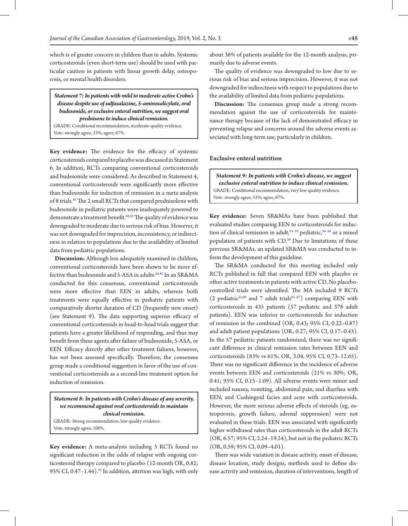which is of greater concern in children than in adults. Systemic corticosteroids (even short-term use) should be used with particular caution in patients with linear growth delay, osteoporosis, or mental health disorders.

*Statement 7: In patients with mild to moderate active Crohn's disease despite use of sulfasalazine, 5-aminosalicylate, oral budesonide, or exclusive enteral nutrition, we suggest oral prednisone to induce clinical remission.*

GRADE: Conditional recommendation, moderate-quality evidence. Vote: strongly agree, 33%; agree, 67%.

**Key evidence:** The evidence for the efficacy of systemic corticosteroids compared to placebo was discussed in Statement 6. In addition, RCTs comparing conventional corticosteroids and budesonide were considered. As described in Statement 4, conventional corticosteroids were significantly more effective than budesonide for induction of remission in a meta-analysis of 8 trials.[41](#page-25-21) The 2 small RCTs that compared prednisolone with budesonide in pediatric patients were inadequately powered to demonstrate a treatment benefit.<sup>42,43</sup> The quality of evidence was downgraded to moderate due to serious risk of bias. However, it was not downgraded for imprecision, inconsistency, or indirectness in relation to populations due to the availability of limited data from pediatric populations.

**Discussion:** Although less adequately examined in children, conventional corticosteroids have been shown to be more ef-fective than budesonide and 5-ASA in adults.<sup>25,[41](#page-25-21)</sup> In an SR&MA conducted for this consensus, conventional corticosteroids were more effective than EEN in adults, whereas both treatments were equally effective in pediatric patients with comparatively shorter duration of CD (frequently new onset) (see Statement 9). The data supporting superior efficacy of conventional corticosteroids in head-to-head trials suggest that patients have a greater likelihood of responding, and thus may benefit from these agents after failure of budesonide, 5-ASA, or EEN. Efficacy directly after other treatment failures, however, has not been assessed specifically. Therefore, the consensus group made a conditional suggestion in favor of the use of conventional corticosteroids as a second-line treatment option for induction of remission.

*Statement 8: In patients with Crohn's disease of any severity, we recommend against oral corticosteroids to maintain clinical remission.* GRADE: Strong recommendation, low-quality evidence. Vote: strongly agree, 100%.

**Key evidence:** A meta-analysis including 3 RCTs found no significant reduction in the odds of relapse with ongoing corticosteroid therapy compared to placebo (12-month OR, 0.82; 95% CI, 0.47-1.44).<sup>[52](#page-25-34)</sup> In addition, attrition was high, with only about 36% of patients available for the 12-month analysis, primarily due to adverse events.

The quality of evidence was downgraded to low due to serious risk of bias and serious imprecision. However, it was not downgraded for indirectness with respect to populations due to the availability of limited data from pediatric populations.

**Discussion:** The consensus group made a strong recommendation against the use of corticosteroids for maintenance therapy because of the lack of demonstrated efficacy in preventing relapse and concerns around the adverse events associated with long-term use, particularly in children.

# Exclusive enteral nutrition

*Statement 9: In patients with Crohn's disease, we suggest exclusive enteral nutrition to induce clinical remission.* GRADE: Conditional recommendation, very low-quality evidence. Vote: strongly agree, 33%; agree, 67%.

**Key evidence:** Seven SR&MAs have been published that evaluated studies comparing EEN to corticosteroids for induction of clinical remission in adult,<sup>53-55</sup> pediatric,<sup>56-58</sup> or a mixed population of patients with CD.<sup>59</sup> Due to limitations of these previous SR&MAs, an updated SR&MA was conducted to inform the development of this guideline.

The SR&MA conducted for this meeting included only RCTs published in full that compared EEN with placebo or other active treatments in patients with active CD. No placebocontrolled trials were identified. The MA included 9 RCTs (2 pediatric<sup>51,60</sup> and 7 adult trials<sup>61-67</sup>) comparing EEN with corticosteroids in 435 patients (57 pediatric and 378 adult patients). EEN was inferior to corticosteroids for induction of remission in the combined (OR, 0.43; 95% CI, 0.22–0.87) and adult patient populations (OR, 0.27; 95% CI, 0.17–0.43). In the 57 pediatric patients randomized, there was no significant difference in clinical remission rates between EEN and corticosteroids (83% vs 61%; OR, 3.04, 95% CI, 0.73–12.65). There was no significant difference in the incidence of adverse events between EEN and corticosteroids (21% vs 30%; OR, 0.41; 95% CI, 0.15–1.09). All adverse events were minor and included nausea, vomiting, abdominal pain, and diarrhea with EEN, and Cushingoid facies and acne with corticosteroids. However, the more serious adverse effects of steroids (eg, osteoporosis, growth failure, adrenal suppression) were not evaluated in these trials. EEN was associated with significantly higher withdrawal rates than corticosteroids in the adult RCTs (OR, 6.57; 95% CI, 2.24–19.24), but not in the pediatric RCTs (OR, 0.59; 95% CI, 0.09–4.01).

There was wide variation in disease activity, onset of disease, disease location, study designs, methods used to define disease activity and remission, duration of interventions, length of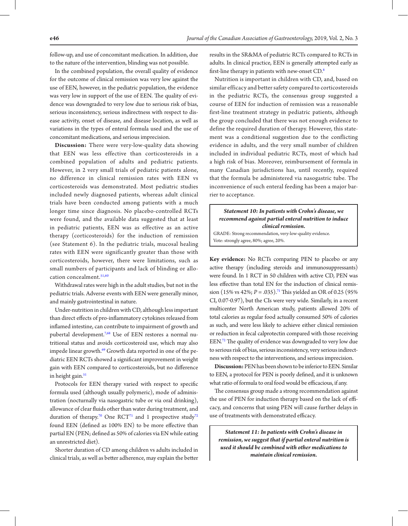follow-up, and use of concomitant medication. In addition, due to the nature of the intervention, blinding was not possible.

In the combined population, the overall quality of evidence for the outcome of clinical remission was very low against the use of EEN, however, in the pediatric population, the evidence was very low in support of the use of EEN. The quality of evidence was downgraded to very low due to serious risk of bias, serious inconsistency, serious indirectness with respect to disease activity, onset of disease, and disease location, as well as variations in the types of enteral formula used and the use of concomitant medications, and serious imprecision.

**Discussion:** There were very-low-quality data showing that EEN was less effective than corticosteroids in a combined population of adults and pediatric patients. However, in 2 very small trials of pediatric patients alone, no difference in clinical remission rates with EEN vs corticosteroids was demonstrated. Most pediatric studies included newly diagnosed patients, whereas adult clinical trials have been conducted among patients with a much longer time since diagnosis. No placebo-controlled RCTs were found, and the available data suggested that at least in pediatric patients, EEN was as effective as an active therapy (corticosteroids) for the induction of remission (see Statement 6). In the pediatric trials, mucosal healing rates with EEN were significantly greater than those with corticosteroids, however, there were limitations, such as small numbers of participants and lack of blinding or allo-cation concealment.<sup>51,[60](#page-25-36)</sup>

Withdrawal rates were high in the adult studies, but not in the pediatric trials. Adverse events with EEN were generally minor, and mainly gastrointestinal in nature.

Under-nutrition in children with CD, although less important than direct effects of pro-inflammatory cytokines released from inflamed intestine, can contribute to impairment of growth and pubertal development.<sup>[7,](#page-24-6)[68](#page-25-37)</sup> Use of EEN restores a normal nutritional status and avoids corticosteroid use, which may also impede linear growth.<sup>[69](#page-26-0)</sup> Growth data reported in one of the pediatric EEN RCTs showed a significant improvement in weight gain with EEN compared to corticosteroids, but no difference in height gain.<sup>51</sup>

Protocols for EEN therapy varied with respect to specific formula used (although usually polymeric), mode of administration (nocturnally via nasogastric tube or via oral drinking), allowance of clear fluids other than water during treatment, and duration of therapy.<sup>[70](#page-26-1)</sup> One RCT<sup>71</sup> and 1 prospective study<sup>72</sup> found EEN (defined as 100% EN) to be more effective than partial EN (PEN; defined as 50% of calories via EN while eating an unrestricted diet).

Shorter duration of CD among children vs adults included in clinical trials, as well as better adherence, may explain the better results in the SR&MA of pediatric RCTs compared to RCTs in adults. In clinical practice, EEN is generally attempted early as first-line therapy in patients with new-onset CD[.8](#page-24-7)

Nutrition is important in children with CD, and, based on similar efficacy and better safety compared to corticosteroids in the pediatric RCTs, the consensus group suggested a course of EEN for induction of remission was a reasonable first-line treatment strategy in pediatric patients, although the group concluded that there was not enough evidence to define the required duration of therapy. However, this statement was a conditional suggestion due to the conflicting evidence in adults, and the very small number of children included in individual pediatric RCTs, most of which had a high risk of bias. Moreover, reimbursement of formula in many Canadian jurisdictions has, until recently, required that the formula be administered via nasogastric tube. The inconvenience of such enteral feeding has been a major barrier to acceptance.

*Statement 10: In patients with Crohn's disease, we recommend against partial enteral nutrition to induce clinical remission.* GRADE: Strong recommendation, very-low-quality evidence. Vote: strongly agree, 80%; agree, 20%.

**Key evidence:** No RCTs comparing PEN to placebo or any active therapy (including steroids and immunosuppressants) were found. In 1 RCT in 50 children with active CD, PEN was less effective than total EN for the induction of clinical remission (15% vs 42%; *P* = .035)[.71](#page-26-2) This yielded an OR of 0.25 (95% CI, 0.07-0.97), but the CIs were very wide. Similarly, in a recent multicenter North American study, patients allowed 20% of total calories as regular food actually consumed 50% of calories as such, and were less likely to achieve either clinical remission or reduction in fecal calprotectin compared with those receiving EEN[.72](#page-26-3) The quality of evidence was downgraded to very low due to serious risk of bias, serious inconsistency, very serious indirectness with respect to the interventions, and serious imprecision.

**Discussion:** PEN has been shown to be inferior to EEN. Similar to EEN, a protocol for PEN is poorly defined, and it is unknown what ratio of formula to oral food would be efficacious, if any.

The consensus group made a strong recommendation against the use of PEN for induction therapy based on the lack of efficacy, and concerns that using PEN will cause further delays in use of treatments with demonstrated efficacy.

*Statement 11: In patients with Crohn's disease in remission, we suggest that if partial enteral nutrition is used it should be combined with other medications to maintain clinical remission.*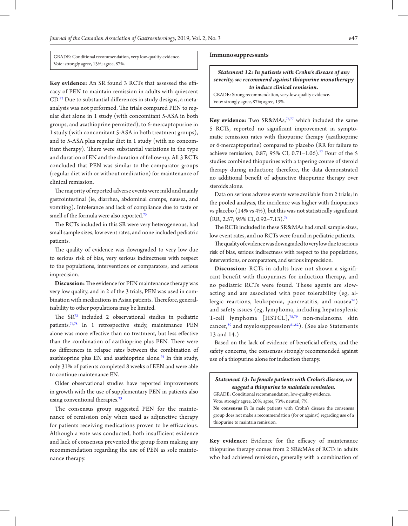GRADE: Conditional recommendation, very low-quality evidence. Vote: strongly agree, 13%; agree, 87%.

**Key evidence:** An SR found 3 RCTs that assessed the efficacy of PEN to maintain remission in adults with quiescent CD[.73](#page-26-4) Due to substantial differences in study designs, a metaanalysis was not performed. The trials compared PEN to regular diet alone in 1 study (with concomitant 5-ASA in both groups, and azathioprine permitted), to 6-mercaptopurine in 1 study (with concomitant 5-ASA in both treatment groups), and to 5-ASA plus regular diet in 1 study (with no concomitant therapy). There were substantial variations in the type and duration of EN and the duration of follow-up. All 3 RCTs concluded that PEN was similar to the comparator groups (regular diet with or without medication) for maintenance of clinical remission.

The majority of reported adverse events were mild and mainly gastrointestinal (ie, diarrhea, abdominal cramps, nausea, and vomiting). Intolerance and lack of compliance due to taste or smell of the formula were also reported.<sup>73</sup>

The RCTs included in this SR were very heterogeneous, had small sample sizes, low event rates, and none included pediatric patients.

The quality of evidence was downgraded to very low due to serious risk of bias, very serious indirectness with respect to the populations, interventions or comparators, and serious imprecision.

**Discussion:** The evidence for PEN maintenance therapy was very low quality, and in 2 of the 3 trials, PEN was used in combination with medications in Asian patients. Therefore, generalizability to other populations may be limited.

The SR[73](#page-26-4) included 2 observational studies in pediatric patients[.74,](#page-26-5)[75](#page-26-6) In 1 retrospective study, maintenance PEN alone was more effective than no treatment, but less effective than the combination of azathioprine plus PEN. There were no differences in relapse rates between the combination of azathioprine plus EN and azathioprine alone.<sup>74</sup> In this study, only 31% of patients completed 8 weeks of EEN and were able to continue maintenance EN.

Older observational studies have reported improvements in growth with the use of supplementary PEN in patients also using conventional therapies.<sup>73</sup>

The consensus group suggested PEN for the maintenance of remission only when used as adjunctive therapy for patients receiving medications proven to be efficacious. Although a vote was conducted, both insufficient evidence and lack of consensus prevented the group from making any recommendation regarding the use of PEN as sole maintenance therapy.

#### Immunosuppressants

*Statement 12: In patients with Crohn's disease of any severity, we recommend against thiopurine monotherapy to induce clinical remission.* GRADE: Strong recommendation, very-low-quality evidence.

Vote: strongly agree, 87%; agree, 13%. 

Key evidence: Two SR&MAs,<sup>76,[77](#page-26-8)</sup> which included the same 5 RCTs, reported no significant improvement in symptomatic remission rates with thiopurine therapy (azathioprine or 6-mercaptopurine) compared to placebo (RR for failure to achieve remission, 0.87; 95% CI, 0.71-1.06).<sup>77</sup> Four of the 5 studies combined thiopurines with a tapering course of steroid therapy during induction; therefore, the data demonstrated no additional benefit of adjunctive thiopurine therapy over steroids alone.

Data on serious adverse events were available from 2 trials; in the pooled analysis, the incidence was higher with thiopurines vs placebo (14% vs 4%), but this was not statistically significant (RR, 2.57; 95% CI, 0.92–7.13)[.76](#page-26-7)

The RCTs included in these SR&MAs had small sample sizes, low event rates, and no RCTs were found in pediatric patients.

The quality of evidence was downgraded to very low due to serious risk of bias, serious indirectness with respect to the populations, interventions, or comparators, and serious imprecision.

**Discussion:** RCTs in adults have not shown a significant benefit with thiopurines for induction therapy, and no pediatric RCTs were found. These agents are slowacting and are associated with poor tolerability (eg, allergic reactions, leukopenia, pancreatitis, and nausea<sup>76</sup>) and safety issues (eg, lymphoma, including hepatosplenic T-cell lymphoma [HSTCL],[78,](#page-26-9)[79](#page-26-10) non-melanoma skin cancer, $80$  and myelosuppression $81,82$  $81,82$ ). (See also Statements 13 and 14.)

Based on the lack of evidence of beneficial effects, and the safety concerns, the consensus strongly recommended against use of a thiopurine alone for induction therapy.

*Statement 13: In female patients with Crohn's disease, we suggest a thiopurine to maintain remission.*

GRADE: Conditional recommendation, low-quality evidence. Vote: strongly agree, 20%; agree, 73%; neutral, 7%. **No consensus F:** In male patients with Crohn's disease the consensus group does not make a recommendation (for or against) regarding use of a thiopurine to maintain remission.

**Key evidence:** Evidence for the efficacy of maintenance thiopurine therapy comes from 2 SR&MAs of RCTs in adults who had achieved remission, generally with a combination of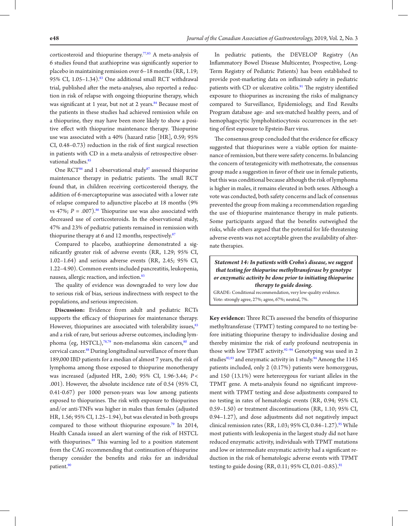corticosteroid and thiopurine therapy[.77](#page-26-8)[,83](#page-26-14) A meta-analysis of 6 studies found that azathioprine was significantly superior to placebo in maintaining remission over 6–18 months (RR, 1.19; 95% CI, 1.05-1.34).<sup>[83](#page-26-14)</sup> One additional small RCT withdrawal trial, published after the meta-analyses, also reported a reduction in risk of relapse with ongoing thiopurine therapy, which was significant at 1 year, but not at 2 years.<sup>84</sup> Because most of the patients in these studies had achieved remission while on a thiopurine, they may have been more likely to show a positive effect with thiopurine maintenance therapy. Thiopurine use was associated with a 40% (hazard ratio [HR], 0.59; 95% CI, 0.48–0.73) reduction in the risk of first surgical resection in patients with CD in a meta-analysis of retrospective observational studies.<sup>85</sup>

One  $RCT<sup>86</sup>$  $RCT<sup>86</sup>$  $RCT<sup>86</sup>$  and 1 observational study<sup>[87](#page-26-18)</sup> assessed thiopurine maintenance therapy in pediatric patients. The small RCT found that, in children receiving corticosteroid therapy, the addition of 6-mercaptopurine was associated with a lower rate of relapse compared to adjunctive placebo at 18 months (9% vs 47%;  $P = .007$ ).<sup>[86](#page-26-17)</sup> Thiopurine use was also associated with decreased use of corticosteroids. In the observational study, 47% and 23% of pediatric patients remained in remission with thiopurine therapy at 6 and 12 months, respectively.<sup>87</sup>

Compared to placebo, azathioprine demonstrated a significantly greater risk of adverse events (RR, 1.29; 95% CI, 1.02–1.64) and serious adverse events (RR, 2.45; 95% CI, 1.22–4.90). Common events included pancreatitis, leukopenia, nausea, allergic reaction, and infection.[83](#page-26-14)

The quality of evidence was downgraded to very low due to serious risk of bias, serious indirectness with respect to the populations, and serious imprecision.

**Discussion:** Evidence from adult and pediatric RCTs supports the efficacy of thiopurines for maintenance therapy. However, thiopurines are associated with tolerability issues,<sup>83</sup> and a risk of rare, but serious adverse outcomes, including lym-phoma (eg, HSTCL),<sup>[78,](#page-26-9)[79](#page-26-10)</sup> non-melanoma skin cancers, $80$  and cervical cancer.<sup>88</sup> During longitudinal surveillance of more than 189,000 IBD patients for a median of almost 7 years, the risk of lymphoma among those exposed to thiopurine monotherapy was increased (adjusted HR, 2.60; 95% CI, 1.96-3.44; *P*< .001). However, the absolute incidence rate of 0.54 (95% CI, 0.41-0.67) per 1000 person-years was low among patients exposed to thiopurines. The risk with exposure to thiopurines and/or anti-TNFs was higher in males than females (adjusted HR, 1.56; 95% CI, 1.25–1.94), but was elevated in both groups compared to those without thiopurine exposure.[79](#page-26-10) In 2014, Health Canada issued an alert warning of the risk of HSTCL with thiopurines.<sup>89</sup> This warning led to a position statement from the CAG recommending that continuation of thiopurine therapy consider the benefits and risks for an individual patient.<sup>[90](#page-26-21)</sup>

In pediatric patients, the DEVELOP Registry (An Inflammatory Bowel Disease Multicenter, Prospective, Long-Term Registry of Pediatric Patients) has been established to provide post-marketing data on infliximab safety in pediatric patients with CD or ulcerative colitis.<sup>[91](#page-26-22)</sup> The registry identified exposure to thiopurines as increasing the risks of malignancy compared to Surveillance, Epidemiology, and End Results Program database age- and sex-matched healthy peers, and of hemophagocytic lymphohistiocytosis occurrences in the setting of first exposure to Epstein-Barr virus.

The consensus group concluded that the evidence for efficacy suggested that thiopurines were a viable option for maintenance of remission, but there were safety concerns. In balancing the concern of teratogenicity with methotrexate, the consensus group made a suggestion in favor of their use in female patients, but this was conditional because although the risk of lymphoma is higher in males, it remains elevated in both sexes. Although a vote was conducted, both safety concerns and lack of consensus prevented the group from making a recommendation regarding the use of thiopurine maintenance therapy in male patients. Some participants argued that the benefits outweighed the risks, while others argued that the potential for life-threatening adverse events was not acceptable given the availability of alternate therapies.

*Statement 14: In patients with Crohn's disease, we suggest that testing for thiopurine methyltransferase by genotype or enzymatic activity be done prior to initiating thiopurine therapy to guide dosing.*

GRADE: Conditional recommendation, very low-quality evidence. Vote: strongly agree, 27%; agree, 67%; neutral, 7%.

**Key evidence:** Three RCTs assessed the benefits of thiopurine methyltransferase (TPMT) testing compared to no testing before initiating thiopurine therapy to individualize dosing and thereby minimize the risk of early profound neutropenia in those with low TPMT activity.<sup>92-94</sup> Genotyping was used in 2 studies $92,93$  $92,93$  $92,93$  and enzymatic activity in 1 study.<sup>94</sup> Among the 1145 patients included, only 2 (0.17%) patients were homozygous, and 150 (13.1%) were heterozygous for variant alleles in the TPMT gene. A meta-analysis found no significant improvement with TPMT testing and dose adjustments compared to no testing in rates of hematologic events (RR, 0.94; 95% CI, 0.59–1.50) or treatment discontinuations (RR, 1.10; 95% CI, 0.94–1.27), and dose adjustments did not negatively impact clinical remission rates (RR, 1.03; 95% CI, 0.84-1.27).<sup>95</sup> While most patients with leukopenia in the largest study did not have reduced enzymatic activity, individuals with TPMT mutations and low or intermediate enzymatic activity had a significant reduction in the risk of hematologic adverse events with TPMT testing to guide dosing (RR, 0.11; 95% CI, 0.01-0.85).<sup>92</sup>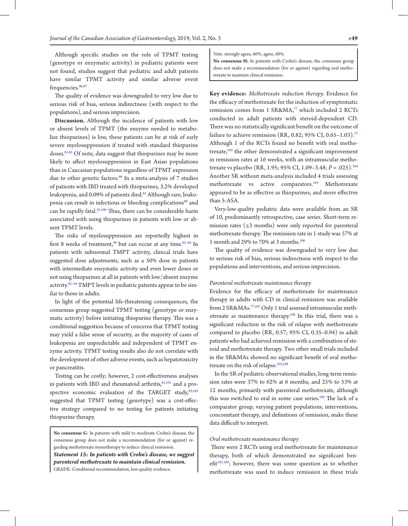Although specific studies on the role of TPMT testing (genotype or enzymatic activity) in pediatric patients were not found, studies suggest that pediatric and adult patients have similar TPMT activity and similar adverse event frequencies.<sup>[96](#page-26-27),[97](#page-26-28)</sup>

The quality of evidence was downgraded to very low due to serious risk of bias, serious indirectness (with respect to the populations), and serious imprecision.

**Discussion.** Although the incidence of patients with low or absent levels of TPMT (the enzyme needed to metabolize thiopurines) is low, these patients can be at risk of early severe myelosuppression if treated with standard thiopurine doses.<sup>[81](#page-26-12),[82](#page-26-13)</sup> Of note, data suggest that thiopurines may be more likely to affect myelosuppression in East Asian populations than in Caucasian populations regardless of TPMT expression due to other genetic factors.<sup>98</sup> In a meta-analysis of 7 studies of patients with IBD treated with thiopurines, 3.2% developed leukopenia, and 0.09% of patients died.<sup>81</sup> Although rare, leukopenia can result in infectious or bleeding complications<sup>99</sup> and can be rapidly fatal.<sup>[81](#page-26-12),[100](#page-26-31)</sup> Thus, there can be considerable harm associated with using thiopurines in patients with low or absent TPMT levels.

The risks of myelosuppression are reportedly highest in first 8 weeks of treatment,<sup>[99](#page-26-30)</sup> but can occur at any time.<sup>92-94</sup> In patients with subnormal TMPT activity, clinical trials have suggested dose adjustments, such as a 50% dose in patients with intermediate enzymatic activity and even lower doses or not using thiopurines at all in patients with low/absent enzyme activity.<sup>92-94</sup> TMPT levels in pediatric patients appear to be similar to those in adults.

In light of the potential life-threatening consequences, the consensus group suggested TPMT testing (genotype or enzymatic activity) before initiating thiopurine therapy. This was a conditional suggestion because of concerns that TPMT testing may yield a false sense of security, as the majority of cases of leukopenia are unpredictable and independent of TPMT enzyme activity. TPMT testing results also do not correlate with the development of other adverse events, such as hepatotoxicity or pancreatitis.

Testing can be costly; however, 2 cost-effectiveness analyses in patients with IBD and rheumatoid arthritis, $81,101$  $81,101$  and a prospective economic evaluation of the TARGET study, $93,102$  $93,102$ suggested that TPMT testing (genotype) was a cost-effective strategy compared to no testing for patients initiating thiopurine therapy.

**No consensus G**: In patients with mild to moderate Crohn's disease, the consensus group does not make a recommendation (for or against) regarding methotrexate monotherapy to induce clinical remission. *Statement 15: In patients with Crohn's disease, we suggest parenteral methotrexate to maintain clinical remission.* GRADE: Conditional recommendation, low-quality evidence.

#### Vote: strongly agree, 40%; agree, 60%.

**No consensus H:** In patients with Crohn's disease, the consensus group does not make a recommendation (for or against) regarding oral methotrexate to maintain clinical remission.

**Key evidence:** *Methotrexate induction therapy.* Evidence for the efficacy of methotrexate for the induction of symptomatic remission comes from 1 SR&MA,<sup>[77](#page-26-8)</sup> which included 2 RCTs conducted in adult patients with steroid-dependent CD. There was no statistically significant benefit on the outcome of failure to achieve remission (RR, 0.82; 95% CI, 0.65–1.03).<sup>[77](#page-26-8)</sup> Although 1 of the RCTs found no benefit with oral methotrexate, $103$  the other demonstrated a significant improvement in remission rates at 16 weeks, with an intramuscular methotrexate vs placebo (RR, 1.95; 95% CI, 1.09–3.48; *P* = .025)[.104](#page-26-35) Another SR without meta-analysis included 4 trials assessing methotrexate vs active comparators.<sup>[105](#page-26-36)</sup> Methotrexate appeared to be as effective as thiopurines, and more effective than 5-ASA.

Very-low-quality pediatric data were available from an SR of 10, predominantly retrospective, case series. Short-term remission rates ( $\leq$ 3 months) were only reported for parenteral methotrexate therapy. The remission rate in 1 study was 57% at 1 month and 29% to 70% at 3 months.[106](#page-26-37)

The quality of evidence was downgraded to very low due to serious risk of bias, serious indirectness with respect to the populations and interventions, and serious imprecision.

#### *Parenteral methotrexate maintenance therapy*

Evidence for the efficacy of methotrexate for maintenance therapy in adults with CD in clinical remission was available from 2 SR&MAs[.77](#page-26-8)[,107](#page-26-38) Only 1 trial assessed intramuscular methotrexate as maintenance therapy[.108](#page-26-39) In this trial, there was a significant reduction in the risk of relapse with methotrexate compared to placebo (RR, 0.57; 95% CI, 0.35–0.94) in adult patients who had achieved remission with a combination of steroid and methotrexate therapy. Two other small trials included in the SR&MAs showed no significant benefit of oral metho-trexate on the risk of relapse.<sup>[103](#page-26-34)[,109](#page-26-40)</sup>

In the SR of pediatric observational studies, long-term remission rates were 37% to 62% at 6 months, and 25% to 53% at 12 months, primarily with parenteral methotrexate, although this was switched to oral in some case series.<sup>[106](#page-26-37)</sup> The lack of a comparator group, varying patient populations, interventions, concomitant therapy, and definitions of remission, make these data difficult to interpret.

#### *Oral methotrexate maintenance therapy*

 There were 2 RCTs using oral methotrexate for maintenance therapy, both of which demonstrated no significant ben- $\text{eff}^{103,109}$  $\text{eff}^{103,109}$  $\text{eff}^{103,109}$  $\text{eff}^{103,109}$  $\text{eff}^{103,109}$ ; however, there was some question as to whether methotrexate was used to induce remission in these trials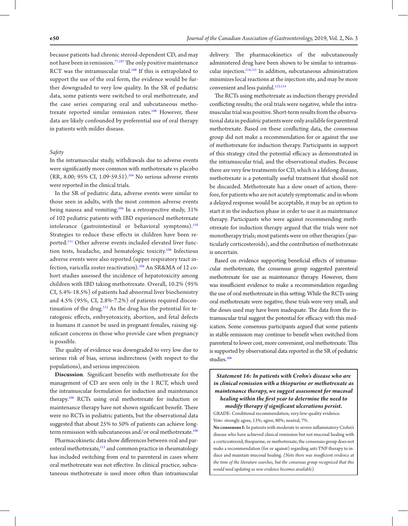because patients had chronic steroid-dependent CD, and may not have been in remission.[77](#page-26-8),[107](#page-26-38) The only positive maintenance RCT was the intramuscular trial.<sup>108</sup> If this is extrapolated to support the use of the oral form, the evidence would be further downgraded to very low quality. In the SR of pediatric data, some patients were switched to oral methotrexate, and the case series comparing oral and subcutaneous metho-trexate reported similar remission rates.<sup>[106](#page-26-37)</sup> However, these data are likely confounded by preferential use of oral therapy in patients with milder disease.

#### *Safety*

In the intramuscular study, withdrawals due to adverse events were significantly more common with methotrexate vs placebo (RR, 8.00; 95% CI, 1.09-59.51).<sup>104</sup> No serious adverse events were reported in the clinical trials.

In the SR of pediatric data, adverse events were similar to those seen in adults, with the most common adverse events being nausea and vomiting.<sup>106</sup> In a retrospective study, 31% of 102 pediatric patients with IBD experienced methotrexate intolerance (gastrointestinal or behavioral symptoms).<sup>110</sup> Strategies to reduce these effects in children have been reported.[111](#page-26-42) Other adverse events included elevated liver function tests, headache, and hematologic toxicity.<sup>106</sup> Infectious adverse events were also reported (upper respiratory tract infection, varicella zoster reactivation)[.106](#page-26-37) An SR&MA of 12 cohort studies assessed the incidence of hepatotoxicity among children with IBD taking methotrexate. Overall, 10.2% (95% CI, 5.4%-18.5%) of patients had abnormal liver biochemistry and  $4.5\%$  (95%, CI, 2.8%-7.2%) of patients required discontinuation of the drug.<sup>112</sup> As the drug has the potential for teratogenic effects, embryotoxicity, abortion, and fetal defects in humans it cannot be used in pregnant females, raising significant concerns in those who provide care when pregnancy is possible.

The quality of evidence was downgraded to very low due to serious risk of bias, serious indirectness (with respect to the populations), and serious imprecision.

**Discussion**. Significant benefits with methotrexate for the management of CD are seen only in the 1 RCT, which used the intramuscular formulation for induction and maintenance therapy.<sup>108</sup> RCTs using oral methotrexate for induction or maintenance therapy have not shown significant benefit. There were no RCTs in pediatric patients, but the observational data suggested that about 25% to 50% of patients can achieve longterm remission with subcutaneous and/or oral methotrexate.<sup>106</sup>

Pharmacokinetic data show differences between oral and par-enteral methotrexate,<sup>[113](#page-26-44)</sup> and common practice in rheumatology has included switching from oral to parenteral in cases where oral methotrexate was not effective. In clinical practice, subcutaneous methotrexate is used more often than intramuscular

delivery. The pharmacokinetics of the subcutaneously administered drug have been shown to be similar to intramuscular injection[.114,](#page-26-45)[115](#page-26-46) In addition, subcutaneous administration minimizes local reactions at the injection site, and may be more convenient and less painful.<sup>113,[114](#page-26-45)</sup>

The RCTs using methotrexate as induction therapy provided conflicting results; the oral trials were negative, while the intramuscular trial was positive. Short-term results from the observational data in pediatric patients were only available for parenteral methotrexate. Based on these conflicting data, the consensus group did not make a recommendation for or against the use of methotrexate for induction therapy. Participants in support of this strategy cited the potential efficacy as demonstrated in the intramuscular trial, and the observational studies. Because there are very few treatments for CD, which is a lifelong disease, methotrexate is a potentially useful treatment that should not be discarded. Methotrexate has a slow onset of action, therefore, for patients who are not acutely symptomatic and in whom a delayed response would be acceptable, it may be an option to start it in the induction phase in order to use it as maintenance therapy. Participants who were against recommending methotrexate for induction therapy argued that the trials were not monotherapy trials; most patients were on other therapies (particularly corticosteroids), and the contribution of methotrexate is uncertain.

Based on evidence supporting beneficial effects of intramuscular methotrexate, the consensus group suggested parenteral methotrexate for use as maintenance therapy. However, there was insufficient evidence to make a recommendation regarding the use of oral methotrexate in this setting. While the RCTs using oral methotrexate were negative, these trials were very small, and the doses used may have been inadequate. The data from the intramuscular trial suggest the potential for efficacy with this medication. Some consensus participants argued that some patients in stable remission may continue to benefit when switched from parenteral to lower cost, more convenient, oral methotrexate. This is supported by observational data reported in the SR of pediatric studies.<sup>[106](#page-26-37)</sup>

*Statement 16: In patients with Crohn's disease who are in clinical remission with a thiopurine or methotrexate as maintenance therapy, we suggest assessment for mucosal healing within the first year to determine the need to* 

*modify therapy if significant ulcerations persist.* GRADE: Conditional recommendation, very-low-quality evidence.

Vote: strongly agree, 13%; agree, 80%; neutral, 7%. **No consensus I:** In patients with moderate to severe inflammatory Crohn's

disease who have achieved clinical remission but not mucosal healing with a corticosteroid, thiopurine, or methotrexate, the consensus group does not make a recommendation (for or against) regarding anti-TNF therapy to induce and maintain mucosal healing. *(Note there was insufficient evidence at the time of the literature searches, but the consensus group recognized that this would need updating as new evidence becomes available).*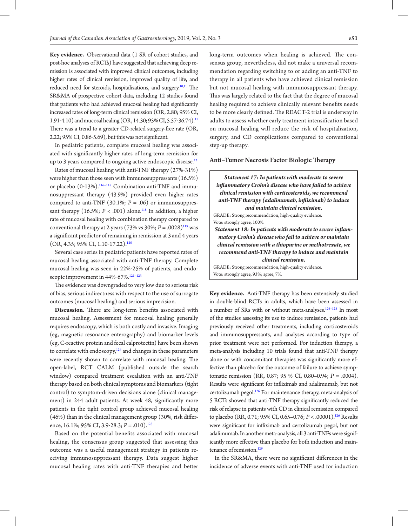**Key evidence.** Observational data (1 SR of cohort studies, and post-hoc analyses of RCTs) have suggested that achieving deep remission is associated with improved clinical outcomes, including higher rates of clinical remission, improved quality of life, and reduced need for steroids, hospitalizations, and surgery.<sup>10,[11](#page-24-10)</sup> The SR&MA of prospective cohort data, including 12 studies found that patients who had achieved mucosal healing had significantly increased rates of long-term clinical remission (OR, 2.80; 95% CI, 1.91-4.10) and mucosal healing (OR, 14.30; 95% CI, 5.57-36.74).<sup>11</sup> There was a trend to a greater CD-related surgery-free rate (OR, 2.22; 95% CI, 0.86-5.69), but this was not significant.

In pediatric patients, complete mucosal healing was associated with significantly higher rates of long-term remission for up to 3 years compared to ongoing active endoscopic disease.<sup>[12](#page-25-38)</sup>

Rates of mucosal healing with anti-TNF therapy (27%-31%) were higher than those seen with immunosuppressants (16.5%) or placebo (0-13%).<sup>116-118</sup> Combination anti-TNF and immunosuppressant therapy (43.9%) provided even higher rates compared to anti-TNF  $(30.1\%; P = .06)$  or immunosuppressant therapy  $(16.5\%; P < .001)$  alone.<sup>118</sup> In addition, a higher rate of mucosal healing with combination therapy compared to conventional therapy at 2 years (73% vs 30%;  $P = .0028$ )<sup>119</sup> was a significant predictor of remaining in remission at 3 and 4 years  $(OR, 4.35; 95\% CI, 1.10-17.22).$ <sup>[120](#page-27-2)</sup>

Several case series in pediatric patients have reported rates of mucosal healing associated with anti-TNF therapy. Complete mucosal healing was seen in 22%-25% of patients, and endoscopic improvement in 44%-67%.<sup>121-123</sup>

The evidence was downgraded to very low due to serious risk of bias, serious indirectness with respect to the use of surrogate outcomes (mucosal healing) and serious imprecision.

**Discussion**. There are long-term benefits associated with mucosal healing. Assessment for mucosal healing generally requires endoscopy, which is both costly and invasive. Imaging (eg, magnetic resonance enterography) and biomarker levels (eg, C-reactive protein and fecal calprotectin) have been shown to correlate with endoscopy, $124$  and changes in these parameters were recently shown to correlate with mucosal healing. The open-label, RCT CALM (published outside the search window) compared treatment escalation with an anti-TNF therapy based on both clinical symptoms and biomarkers (tight control) to symptom-driven decisions alone (clinical management) in 244 adult patients. At week 48, significantly more patients in the tight control group achieved mucosal healing (46%) than in the clinical management group (30%, risk difference, 16.1%; 95% CI, 3.9-28.3; *P* = .010).<sup>125</sup>

Based on the potential benefits associated with mucosal healing, the consensus group suggested that assessing this outcome was a useful management strategy in patients receiving immunosuppressant therapy. Data suggest higher mucosal healing rates with anti-TNF therapies and better long-term outcomes when healing is achieved. The consensus group, nevertheless, did not make a universal recommendation regarding switching to or adding an anti-TNF to therapy in all patients who have achieved clinical remission but not mucosal healing with immunosuppressant therapy. This was largely related to the fact that the degree of mucosal healing required to achieve clinically relevant benefits needs to be more clearly defined. The REACT-2 trial is underway in adults to assess whether early treatment intensification based on mucosal healing will reduce the risk of hospitalization, surgery, and CD complications compared to conventional step-up therapy.

#### Anti–Tumor Necrosis Factor Biologic Therapy

*Statement 17: In patients with moderate to severe inflammatory Crohn's disease who have failed to achieve clinical remission with corticosteroids, we recommend anti-TNF therapy (adalimumab, infliximab) to induce and maintain clinical remission.* GRADE: Strong recommendation, high-quality evidence. Vote: strongly agree, 100%.

*Statement 18: In patients with moderate to severe inflammatory Crohn's disease who fail to achieve or maintain clinical remission with a thiopurine or methotrexate, we recommend anti-TNF therapy to induce and maintain clinical remission.*

GRADE: Strong recommendation, high-quality evidence. Vote: strongly agree, 93%; agree, 7%.

**Key evidence.** Anti-TNF therapy has been extensively studied in double-blind RCTs in adults, which have been assessed in a number of SRs with or without meta-analyses.126–128 In most of the studies assessing its use to induce remission, patients had previously received other treatments, including corticosteroids and immunosuppressants, and analyses according to type of prior treatment were not performed. For induction therapy, a meta-analysis including 10 trials found that anti-TNF therapy alone or with concomitant therapies was significantly more effective than placebo for the outcome of failure to achieve symptomatic remission (RR, 0.87; 95 % CI, 0.80–0.94; *P* = .0004). Results were significant for infliximab and adalimumab, but not certolizumab pegol.<sup>126</sup> For maintenance therapy, meta-analysis of 5 RCTs showed that anti-TNF therapy significantly reduced the risk of relapse in patients with CD in clinical remission compared to placebo (RR, 0.71; 95% CI, 0.65–0.76; *P* < .00001)[.126](#page-27-5) Results were significant for infliximab and certolizumab pegol, but not adalimumab. In another meta-analysis, all 3 anti-TNFs were significantly more effective than placebo for both induction and maintenance of remission.<sup>129</sup>

In the SR&MA, there were no significant differences in the incidence of adverse events with anti-TNF used for induction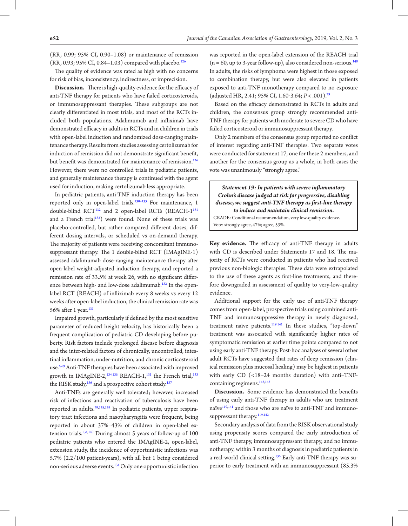(RR, 0.99; 95% CI, 0.90–1.08) or maintenance of remission  $(RR, 0.93; 95\% \text{ CI}, 0.84-1.03)$  compared with placebo.<sup>[126](#page-27-5)</sup>

The quality of evidence was rated as high with no concerns for risk of bias, inconsistency, indirectness, or imprecision.

**Discussion.** There is high-quality evidence for the efficacy of anti-TNF therapy for patients who have failed corticosteroids, or immunosuppressant therapies. These subgroups are not clearly differentiated in most trials, and most of the RCTs included both populations. Adalimumab and infliximab have demonstrated efficacy in adults in RCTs and in children in trials with open-label induction and randomized dose-ranging maintenance therapy. Results from studies assessing certolizumab for induction of remission did not demonstrate significant benefit, but benefit was demonstrated for maintenance of remission.<sup>126</sup> However, there were no controlled trials in pediatric patients, and generally maintenance therapy is continued with the agent used for induction, making certolizumab less appropriate.

In pediatric patients, anti-TNF induction therapy has been reported only in open-label trials.<sup>130-133</sup> For maintenance, 1 double-blind RCT<sup>132</sup> and 2 open-label RCTs (REACH-1<sup>131</sup> and a French trial $133$ ) were found. None of these trials was placebo-controlled, but rather compared different doses, different dosing intervals, or scheduled vs on-demand therapy. The majority of patients were receiving concomitant immunosuppressant therapy. The 1 double-blind RCT (IMAgINE-1) assessed adalimumab dose-ranging maintenance therapy after open-label weight-adjusted induction therapy, and reported a remission rate of 33.5% at week 26, with no significant difference between high- and low-dose adalimumab.<sup>132</sup> In the openlabel RCT (REACH) of infliximab every 8 weeks vs every 12 weeks after open-label induction, the clinical remission rate was 56% after 1 year. $131$ 

Impaired growth, particularly if defined by the most sensitive parameter of reduced height velocity, has historically been a frequent complication of pediatric CD developing before puberty. Risk factors include prolonged disease before diagnosis and the inter-related factors of chronically, uncontrolled, intestinal inflammation, under-nutrition, and chronic corticosteroid use.<sup>[6,](#page-24-5)[69](#page-26-0)</sup> Anti-TNF therapies have been associated with improved growth in IMAgINE-2,<sup>134,135</sup> REACH-1,<sup>[131](#page-27-8)</sup> the French trial,<sup>133</sup> the RISK study,<sup>[136](#page-27-12)</sup> and a prospective cohort study.<sup>[137](#page-27-13)</sup>

Anti-TNFs are generally well tolerated; however, increased risk of infections and reactivation of tuberculosis have been reported in adults[.79,](#page-26-10)[138](#page-27-14),[139](#page-27-15) In pediatric patients, upper respiratory tract infections and nasopharyngitis were frequent, being reported in about 37%–43% of children in open-label ex-tension trials.<sup>[134](#page-27-10),140</sup> During almost 5 years of follow-up of 100 pediatric patients who entered the IMAgINE-2, open-label, extension study, the incidence of opportunistic infections was 5.7% (2.2/100 patient-years), with all but 1 being considered non-serious adverse events[.134](#page-27-10) Only one opportunistic infection was reported in the open-label extension of the REACH trial  $(n = 60, up to 3-year follow-up)$ , also considered non-serious.<sup>140</sup> In adults, the risks of lymphoma were highest in those exposed to combination therapy, but were also elevated in patients exposed to anti-TNF monotherapy compared to no exposure (adjusted HR, 2.41; 95% CI, 1.60‒3.64; *P*< .001)[.79](#page-26-10)

Based on the efficacy demonstrated in RCTs in adults and children, the consensus group strongly recommended anti-TNF therapy for patients with moderate to severe CD who have failed corticosteroid or immunosuppressant therapy.

Only 2 members of the consensus group reported no conflict of interest regarding anti-TNF therapies. Two separate votes were conducted for statement 17, one for these 2 members, and another for the consensus group as a whole, in both cases the vote was unanimously "strongly agree."

*Statement 19: In patients with severe inflammatory Crohn's disease judged at risk for progressive, disabling disease, we suggest anti-TNF therapy as first-line therapy to induce and maintain clinical remission.*

GRADE: Conditional recommendation, very low-quality evidence. Vote: strongly agree, 47%; agree, 53%.

**Key evidence.** The efficacy of anti-TNF therapy in adults with CD is described under Statements 17 and 18. The majority of RCTs were conducted in patients who had received previous non-biologic therapies. These data were extrapolated to the use of these agents as first-line treatments, and therefore downgraded in assessment of quality to very-low-quality evidence.

Additional support for the early use of anti-TNF therapy comes from open-label, prospective trials using combined anti-TNF and immunosuppressive therapy in newly diagnosed, treatment naïve patients.<sup>119,[141](#page-27-17)</sup> In these studies, "top-down" treatment was associated with significantly higher rates of symptomatic remission at earlier time points compared to not using early anti-TNF therapy. Post-hoc analyses of several other adult RCTs have suggested that rates of deep remission (clinical remission plus mucosal healing) may be highest in patients with early CD (<18–24 months duration) with anti–TNF-containing regimens.<sup>[142,](#page-27-18)[143](#page-27-19)</sup>

**Discussion.** Some evidence has demonstrated the benefits of using early anti-TNF therapy in adults who are treatment naïve<sup>119,[141](#page-27-17)</sup> and those who are naïve to anti-TNF and immuno-suppressant therapy.<sup>119,[142](#page-27-18)</sup>

Secondary analysis of data from the RISK observational study using propensity scores compared the early introduction of anti-TNF therapy, immunosuppressant therapy, and no immunotherapy, within 3 months of diagnosis in pediatric patients in a real-world clinical setting.<sup>136</sup> Early anti-TNF therapy was superior to early treatment with an immunosuppressant (85.3%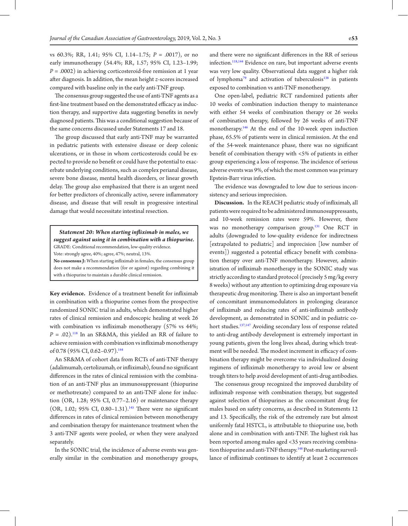vs 60.3%; RR, 1.41; 95% CI, 1.14–1.75;  $P = .0017$ ), or no early immunotherapy (54.4%; RR, 1.57; 95% CI, 1.23–1.99; *P* = .0002) in achieving corticosteroid-free remission at 1 year after diagnosis. In addition, the mean height *z*-scores increased compared with baseline only in the early anti-TNF group.

The consensus group suggested the use of anti-TNF agents as a first-line treatment based on the demonstrated efficacy as induction therapy, and supportive data suggesting benefits in newly diagnosed patients. This was a conditional suggestion because of the same concerns discussed under Statements 17 and 18.

The group discussed that early anti-TNF may be warranted in pediatric patients with extensive disease or deep colonic ulcerations, or in those in whom corticosteroids could be expected to provide no benefit or could have the potential to exacerbate underlying conditions, such as complex perianal disease, severe bone disease, mental health disorders, or linear growth delay. The group also emphasized that there is an urgent need for better predictors of chronically active, severe inflammatory disease, and disease that will result in progressive intestinal damage that would necessitate intestinal resection.

*Statement 20: When starting infliximab in males, we suggest against using it in combination with a thiopurine.* GRADE: Conditional recommendation, low-quality evidence.

Vote: strongly agree, 40%; agree, 47%; neutral, 13%.

**No consensus J:** When starting infliximab in females, the consensus group does not make a recommendation (for or against) regarding combining it with a thiopurine to maintain a durable clinical remission.

**Key evidence.** Evidence of a treatment benefit for infliximab in combination with a thiopurine comes from the prospective randomized SONIC trial in adults, which demonstrated higher rates of clinical remission and endoscopic healing at week 26 with combination vs infliximab monotherapy (57% vs 44%;  $P = .02$ ).<sup>118</sup> In an SR&MA, this yielded an RR of failure to achieve remission with combination vs infliximab monotherapy of 0.78 (95% CI, 0.62-0.97).<sup>144</sup>

An SR&MA of cohort data from RCTs of anti-TNF therapy (adalimumab, certolizumab, or infliximab), found no significant differences in the rates of clinical remission with the combination of an anti-TNF plus an immunosuppressant (thiopurine or methotrexate) compared to an anti-TNF alone for induction (OR, 1.28; 95% CI, 0.77–2.16) or maintenance therapy (OR, 1.02; 95% CI, 0.80–1.31).<sup>145</sup> There were no significant differences in rates of clinical remission between monotherapy and combination therapy for maintenance treatment when the 3 anti-TNF agents were pooled, or when they were analyzed separately.

In the SONIC trial, the incidence of adverse events was generally similar in the combination and monotherapy groups, and there were no significant differences in the RR of serious infection.<sup>118,144</sup> Evidence on rare, but important adverse events was very low quality. Observational data suggest a higher risk of lymphoma<sup>79</sup> and activation of tuberculosis<sup>138</sup> in patients exposed to combination vs anti-TNF monotherapy.

One open-label, pediatric RCT randomized patients after 10 weeks of combination induction therapy to maintenance with either 54 weeks of combination therapy or 26 weeks of combination therapy, followed by 26 weeks of anti-TNF monotherapy.[146](#page-27-22) At the end of the 10-week open induction phase, 65.5% of patients were in clinical remission. At the end of the 54-week maintenance phase, there was no significant benefit of combination therapy with <5% of patients in either group experiencing a loss of response. The incidence of serious adverse events was 9%, of which the most common was primary Epstein-Barr virus infection.

The evidence was downgraded to low due to serious inconsistency and serious imprecision.

**Discussion.** In the REACH pediatric study of infliximab, all patients were required to be administered immunosuppressants, and 10-week remission rates were 59%. However, there was no monotherapy comparison group.<sup>131</sup> One RCT in adults (downgraded to low-quality evidence for indirectness [extrapolated to pediatric] and imprecision [low number of events]) suggested a potential efficacy benefit with combination therapy over anti-TNF monotherapy. However, administration of infliximab monotherapy in the SONIC study was strictly according to standard protocol (precisely 5 mg/kg every 8 weeks) without any attention to optimizing drug exposure via therapeutic drug monitoring. There is also an important benefit of concomitant immunomodulators in prolonging clearance of infliximab and reducing rates of anti-infliximab antibody development, as demonstrated in SONIC and in pediatric co-hort studies.<sup>[137](#page-27-13),147</sup> Avoiding secondary loss of response related to anti-drug antibody development is extremely important in young patients, given the long lives ahead, during which treatment will be needed. The modest increment in efficacy of combination therapy might be overcome via individualized dosing regimens of infliximab monotherapy to avoid low or absent trough titers to help avoid development of anti-drug antibodies.

The consensus group recognized the improved durability of infliximab response with combination therapy, but suggested against selection of thiopurines as the concomitant drug for males based on safety concerns, as described in Statements 12 and 13. Specifically, the risk of the extremely rare but almost uniformly fatal HSTCL, is attributable to thiopurine use, both alone and in combination with anti-TNF. The highest risk has been reported among males aged <35 years receiving combination thiopurine and anti-TNF therapy.<sup>148</sup> Post-marketing surveillance of infliximab continues to identify at least 2 occurrences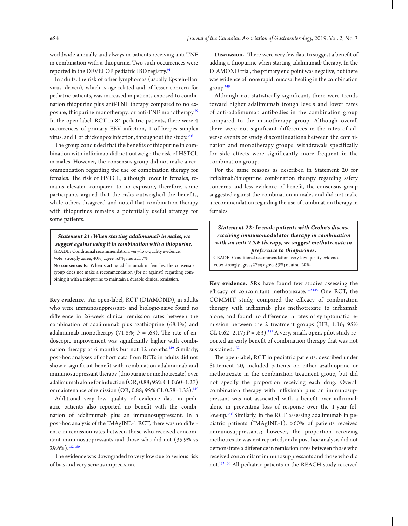worldwide annually and always in patients receiving anti-TNF in combination with a thiopurine. Two such occurrences were reported in the DEVELOP pediatric IBD registry.<sup>[91](#page-26-22)</sup>

In adults, the risk of other lymphomas (usually Epstein-Barr virus–driven), which is age-related and of lesser concern for pediatric patients, was increased in patients exposed to combination thiopurine plus anti-TNF therapy compared to no exposure, thiopurine monotherapy, or anti-TNF monotherapy[.79](#page-26-10) In the open-label, RCT in 84 pediatric patients, there were 4 occurrences of primary EBV infection, 1 of herpes simplex virus, and 1 of chickenpox infection, throughout the study.[146](#page-27-22)

The group concluded that the benefits of thiopurine in combination with infliximab did not outweigh the risk of HSTCL in males. However, the consensus group did not make a recommendation regarding the use of combination therapy for females. The risk of HSTCL, although lower in females, remains elevated compared to no exposure, therefore, some participants argued that the risks outweighed the benefits, while others disagreed and noted that combination therapy with thiopurines remains a potentially useful strategy for some patients.

*Statement 21: When starting adalimumab in males, we suggest against using it in combination with a thiopurine.* GRADE: Conditional recommendation, very-low-quality evidence.

Vote: strongly agree, 40%; agree, 53%; neutral, 7%.

**No consensus K:** When starting adalimumab in females, the consensus group does not make a recommendation (for or against) regarding combining it with a thiopurine to maintain a durable clinical remission.

**Key evidence.** An open-label, RCT (DIAMOND), in adults who were immunosuppressant- and biologic-naïve found no difference in 26-week clinical remission rates between the combination of adalimumab plus azathioprine (68.1%) and adalimumab monotherapy (71.8%;  $P = .63$ ). The rate of endoscopic improvement was significantly higher with combination therapy at 6 months but not 12 months.<sup>149</sup> Similarly, post-hoc analyses of cohort data from RCTs in adults did not show a significant benefit with combination adalimumab and immunosuppressant therapy (thiopurine or methotrexate) over adalimumab alone for induction (OR, 0.88; 95% CI, 0.60–1.27) or maintenance of remission (OR, 0.88; 95% CI, 0.58-1.35).<sup>145</sup>

Additional very low quality of evidence data in pediatric patients also reported no benefit with the combination of adalimumab plus an immunosuppressant. In a post-hoc analysis of the IMAgINE-1 RCT, there was no difference in remission rates between those who received concomitant immunosuppressants and those who did not (35.9% vs 29.6%).[132](#page-27-7)[,150](#page-27-26)

The evidence was downgraded to very low due to serious risk of bias and very serious imprecision.

**Discussion.** There were very few data to suggest a benefit of adding a thiopurine when starting adalimumab therapy. In the DIAMOND trial, the primary end point was negative, but there was evidence of more rapid mucosal healing in the combination group[.149](#page-27-25)

Although not statistically significant, there were trends toward higher adalimumab trough levels and lower rates of anti-adalimumab antibodies in the combination group compared to the monotherapy group. Although overall there were not significant differences in the rates of adverse events or study discontinuations between the combination and monotherapy groups, withdrawals specifically for side effects were significantly more frequent in the combination group.

For the same reasons as described in Statement 20 for infliximab/thiopurine combination therapy regarding safety concerns and less evidence of benefit, the consensus group suggested against the combination in males and did not make a recommendation regarding the use of combination therapy in females.

*Statement 22: In male patients with Crohn's disease receiving immunomodulator therapy in combination with an anti-TNF therapy, we suggest methotrexate in preference to thiopurines.* GRADE: Conditional recommendation, very-low-quality evidence.

Vote: strongly agree, 27%; agree, 53%; neutral, 20%.

**Key evidence.** SRs have found few studies assessing the efficacy of concomitant methotrexate[.129,](#page-27-6)[145](#page-27-21) One RCT, the COMMIT study, compared the efficacy of combination therapy with infliximab plus methotrexate to infliximab alone, and found no difference in rates of symptomatic remission between the 2 treatment groups (HR, 1.16; 95% CI,  $0.62 - 2.17$ ;  $P = .63$ ).<sup>[151](#page-27-27)</sup> A very, small, open, pilot study reported an early benefit of combination therapy that was not sustained.<sup>152</sup>

The open-label, RCT in pediatric patients, described under Statement 20, included patients on either azathioprine or methotrexate in the combination treatment group, but did not specify the proportion receiving each drug. Overall combination therapy with infliximab plus an immunosuppressant was not associated with a benefit over infliximab alone in preventing loss of response over the 1-year follow-up.[146](#page-27-22) Similarly, in the RCT assessing adalimumab in pediatric patients (IMAgINE-1), >60% of patients received immunosuppressants; however, the proportion receiving methotrexate was not reported, and a post-hoc analysis did not demonstrate a difference in remission rates between those who received concomitant immunosuppressants and those who did not.[132](#page-27-7)[,150](#page-27-26) All pediatric patients in the REACH study received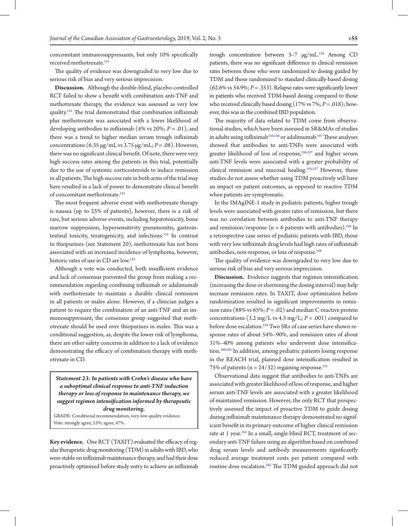concomitant immunosuppressants, but only 10% specifically received methotrexate.<sup>131</sup>

The quality of evidence was downgraded to very low due to serious risk of bias and very serious imprecision.

**Discussion.** Although the double-blind, placebo-controlled RCT failed to show a benefit with combination anti-TNF and methotrexate therapy, the evidence was assessed as very low quality.[151](#page-27-27) The trial demonstrated that combination infliximab plus methotrexate was associated with a lower likelihood of developing antibodies to infliximab (4% vs 20%; *P* = .01), and there was a trend to higher median serum trough infliximab concentrations (6.35 μg/mL vs 3.75 μg/mL; *P* = .08). However, there was no significant clinical benefit. Of note, there were very high success rates among the patients in this trial, potentially due to the use of systemic corticosteroids to induce remission in all patients. The high success rate in both arms of the trial may have resulted in a lack of power to demonstrate clinical benefit of concomitant methotrexate.<sup>151</sup>

The most frequent adverse event with methotrexate therapy is nausea (up to 25% of patients), however, there is a risk of rare, but serious adverse events, including hepatotoxicity, bone marrow suppression, hypersensitivity pneumonitis, gastrointestinal toxicity, teratogenicity, and infections.[153](#page-27-29) In contrast to thiopurines (see Statement 20), methotrexate has not been associated with an increased incidence of lymphoma, however, historic rates of use in CD are low.<sup>153</sup>

Although a vote was conducted, both insufficient evidence and lack of consensus prevented the group from making a recommendation regarding combining infliximab or adalimumab with methotrexate to maintain a durable clinical remission in all patients or males alone. However, if a clinician judges a patient to require the combination of an anti-TNF and an immunosuppressant, the consensus group suggested that methotrexate should be used over thiopurines in males. This was a conditional suggestion, as, despite the lower risk of lymphoma, there are other safety concerns in addition to a lack of evidence demonstrating the efficacy of combination therapy with methotrexate in CD.

*Statement 23: In patients with Crohn's disease who have a suboptimal clinical response to anti-TNF induction therapy or loss of response to maintenance therapy, we suggest regimen intensification informed by therapeutic drug monitoring.*

GRADE: Conditional recommendation, very-low-quality evidence. Vote: strongly agree, 53%; agree, 47%.

**Key evidence.** One RCT (TAXIT) evaluated the efficacy of regular therapeutic drug monitoring (TDM) in adults with IBD, who were stable on infliximab maintenance therapy, and had their dose proactively optimized before study entry to achieve an infliximab trough concentration between  $3-7 \ \mu g/mL$ .<sup>154</sup> Among CD patients, there was no significant difference in clinical remission rates between those who were randomized to dosing guided by TDM and those randomized to standard clinically-based dosing  $(62.6\% \text{ vs } 54.9\%; P = .353)$ . Relapse rates were significantly lower in patients who received TDM-based dosing compared to those who received clinically based dosing (17% vs 7%;  $P = .018$ ); however, this was in the combined IBD population.

The majority of data related to TDM come from observational studies, which have been assessed in SR&MAs of studies in adults using infliximab<sup>155,[156](#page-27-32)</sup> or adalimumab.<sup>157</sup> These analyses showed that antibodies to anti-TNFs were associated with greater likelihood of loss of response,<sup>156,[157](#page-27-33)</sup> and higher serum anti-TNF levels were associated with a greater probability of clinical remission and mucosal healing.<sup>[155,](#page-27-31)[157](#page-27-33)</sup> However, these studies do not assess whether using TDM proactively will have an impact on patient outcomes, as opposed to reactive TDM when patients are symptomatic.

In the IMAgINE-1 study in pediatric patients, higher trough levels were associated with greater rates of remission, but there was no correlation between antibodies to anti-TNF therapy and remission/response ( $n = 6$  patients with antibodies).<sup>[158](#page-27-34)</sup> In a retrospective case series of pediatric patients with IBD, those with very low infliximab drug levels had high rates of infliximab antibodies, non-response, or loss of response.[159](#page-27-35)

The quality of evidence was downgraded to very low due to serious risk of bias and very serious imprecision.

**Discussion.** Evidence suggests that regimen intensification (increasing the dose or shortening the dosing interval) may help increase remission rates. In TAXIT, dose optimization before randomization resulted in significant improvements in remission rates (88% vs 65%;  $P = .02$ ) and median C-reactive protein concentrations (3.2 mg/L vs 4.3 mg/L; *P* < .001) compared to before dose escalation.<sup>[154](#page-27-30)</sup> Two SRs of case series have shown response rates of about 54%–90%, and remission rates of about 31%–40% among patients who underwent dose intensifica-tion.<sup>[160](#page-27-36),161</sup> In addition, among pediatric patients losing response in the REACH trial, planned dose intensification resulted in 75% of patients ( $n = 24/32$ ) regaining response.<sup>[131](#page-27-8)</sup>

Observational data suggest that antibodies to anti-TNFs are associated with greater likelihood of loss of response, and higher serum anti-TNF levels are associated with a greater likelihood of maintained remission. However, the only RCT that prospectively assessed the impact of proactive TDM to guide dosing during infliximab maintenance therapy demonstrated no significant benefit in its primary outcome of higher clinical remission rate at 1 year.<sup>[154](#page-27-30)</sup> In a small, single-blind RCT, treatment of secondary anti-TNF failure using an algorithm based on combined drug serum levels and antibody measurements significantly reduced average treatment costs per patient compared with routine dose escalation.<sup>162</sup> The TDM-guided approach did not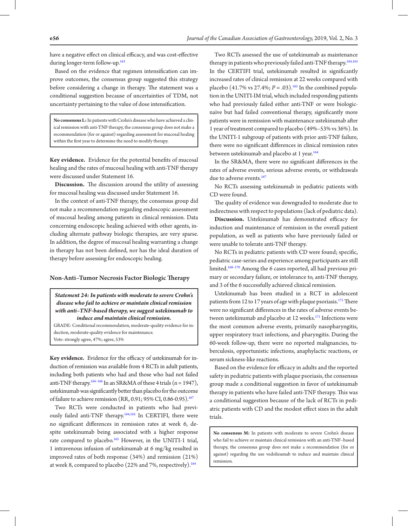have a negative effect on clinical efficacy, and was cost-effective during longer-term follow-up.<sup>163</sup>

Based on the evidence that regimen intensification can improve outcomes, the consensus group suggested this strategy before considering a change in therapy. The statement was a conditional suggestion because of uncertainties of TDM, not uncertainty pertaining to the value of dose intensification.

**No consensus L:** In patients with Crohn's disease who have achieved a clinical remission with anti-TNF therapy, the consensus group does not make a recommendation (for or against) regarding assessment for mucosal healing within the first year to determine the need to modify therapy.

**Key evidence.** Evidence for the potential benefits of mucosal healing and the rates of mucosal healing with anti-TNF therapy were discussed under Statement 16.

**Discussion.** The discussion around the utility of assessing for mucosal healing was discussed under Statement 16.

In the context of anti-TNF therapy, the consensus group did not make a recommendation regarding endoscopic assessment of mucosal healing among patients in clinical remission. Data concerning endoscopic healing achieved with other agents, including alternate pathway biologic therapies, are very sparse. In addition, the degree of mucosal healing warranting a change in therapy has not been defined, nor has the ideal duration of therapy before assessing for endoscopic healing.

#### Non-Anti–Tumor Necrosis Factor Biologic Therapy

*Statement 24: In patients with moderate to severe Crohn's disease who fail to achieve or maintain clinical remission with anti–TNF-based therapy, we suggest ustekinumab to induce and maintain clinical remission.*

GRADE: Conditional recommendation, moderate-quality evidence for induction, moderate-quality evidence for maintenance. Vote: strongly agree, 47%; agree, 53%

**Key evidence.** Evidence for the efficacy of ustekinumab for induction of remission was available from 4 RCTs in adult patients, including both patients who had and those who had not failed anti-TNF therapy.<sup>164-166</sup> In an SR&MA of these 4 trials  $(n = 1947)$ , ustekinumab was significantly better than placebo for the outcome of failure to achieve remission (RR, 0.91; 95% CI, 0.86-0.95).<sup>167</sup>

Two RCTs were conducted in patients who had previously failed anti-TNF therapy[.164](#page-27-41),[165](#page-27-42) In CERTIFI, there were no significant differences in remission rates at week 6, despite ustekinumab being associated with a higher response rate compared to placebo.<sup>165</sup> However, in the UNITI-1 trial, 1 intravenous infusion of ustekinumab at 6 mg/kg resulted in improved rates of both response (34%) and remission (21%) at week 8, compared to placebo (22% and 7%, respectively).<sup>[164](#page-27-41)</sup>

Two RCTs assessed the use of ustekinumab as maintenance therapy in patients who previously failed anti-TNF therapy.<sup>[164](#page-27-41)[,165](#page-27-42)</sup> In the CERTIFI trial, ustekinumab resulted in significantly increased rates of clinical remission at 22 weeks compared with placebo  $(41.7\% \text{ vs } 27.4\%; P = .03).$ <sup>165</sup> In the combined population in the UNITI-IM trial, which included responding patients who had previously failed either anti-TNF or were biologicnaïve but had failed conventional therapy, significantly more patients were in remission with maintenance ustekinumab after 1 year of treatment compared to placebo (49%–53% vs 36%). In the UNITI-1 subgroup of patients with prior anti-TNF failure, there were no significant differences in clinical remission rates between ustekinumab and placebo at 1 year.<sup>[164](#page-27-41)</sup>

In the SR&MA, there were no significant differences in the rates of adverse events, serious adverse events, or withdrawals due to adverse events.<sup>[167](#page-27-40)</sup>

No RCTs assessing ustekinumab in pediatric patients with CD were found.

The quality of evidence was downgraded to moderate due to indirectness with respect to populations (lack of pediatric data).

**Discussion.** Ustekinumab has demonstrated efficacy for induction and maintenance of remission in the overall patient population, as well as patients who have previously failed or were unable to tolerate anti-TNF therapy.

No RCTs in pediatric patients with CD were found; specific, pediatric case-series and experience among participants are still limited.<sup>168-170</sup> Among the 6 cases reported, all had previous primary or secondary failure, or intolerance to, anti-TNF therapy, and 3 of the 6 successfully achieved clinical remission.

Ustekinumab has been studied in a RCT in adolescent patients from 12 to 17 years of age with plaque psoriasis.<sup>171</sup> There were no significant differences in the rates of adverse events between ustekinumab and placebo at 12 weeks.<sup>171</sup> Infections were the most common adverse events, primarily nasopharyngitis, upper respiratory tract infections, and pharyngitis. During the 60-week follow-up, there were no reported malignancies, tuberculosis, opportunistic infections, anaphylactic reactions, or serum sickness-like reactions.

Based on the evidence for efficacy in adults and the reported safety in pediatric patients with plaque psoriasis, the consensus group made a conditional suggestion in favor of ustekinumab therapy in patients who have failed anti-TNF therapy. This was a conditional suggestion because of the lack of RCTs in pediatric patients with CD and the modest effect sizes in the adult trials.

**No consensus M:** In patients with moderate to severe Crohn's disease who fail to achieve or maintain clinical remission with an anti-TNF*–*based therapy, the consensus group does not make a recommendation (for or against) regarding the use vedolizumab to induce and maintain clinical remission.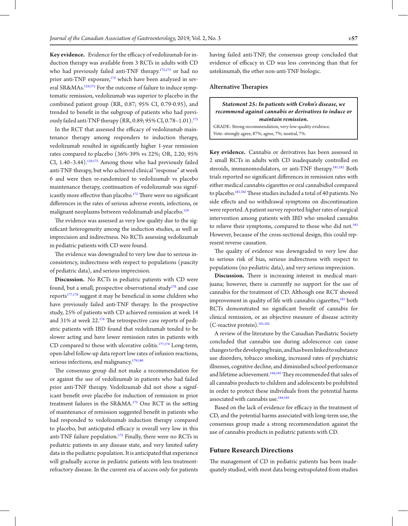**Key evidence.** Evidence for the efficacy of vedolizumab for induction therapy was available from 3 RCTs in adults with CD who had previously failed anti-TNF therapy.<sup>[172](#page-28-1),173</sup> or had no prior anti-TNF exposure,<sup>174</sup> which have been analyzed in sev-eral SR&MAs.<sup>[129](#page-27-6),175</sup> For the outcome of failure to induce symptomatic remission, vedolizumab was superior to placebo in the combined patient group (RR, 0.87; 95% CI, 0.79-0.95), and trended to benefit in the subgroup of patients who had previously failed anti-TNF therapy (RR, 0.89; 95% CI, 0.78-1.01).<sup>175</sup>

In the RCT that assessed the efficacy of vedolizumab maintenance therapy among responders to induction therapy, vedolizumab resulted in significantly higher 1-year remission rates compared to placebo (36%‒39% vs 22%; OR, 2.20; 95% CI, 1.40-3.44).<sup>129,[172](#page-28-1)</sup> Among those who had previously failed anti-TNF therapy, but who achieved clinical "response" at week 6 and were then re-randomized to vedolizumab vs placebo maintenance therapy, continuation of vedolizumab was significantly more effective than placebo.<sup>172</sup> There were no significant differences in the rates of serious adverse events, infections, or malignant neoplasms between vedolizumab and placebo.<sup>[129](#page-27-6)</sup>

The evidence was assessed as very low quality due to the significant heterogeneity among the induction studies, as well as imprecision and indirectness. No RCTs assessing vedolizumab in pediatric patients with CD were found.

The evidence was downgraded to very low due to serious inconsistency, indirectness with respect to populations (paucity of pediatric data), and serious imprecision.

**Discussion.** No RCTs in pediatric patients with CD were found, but a small, prospective observational study<sup>[176](#page-28-5)</sup> and case reports[177,](#page-28-6)[178](#page-28-7) suggest it may be beneficial in some children who have previously failed anti-TNF therapy. In the prospective study, 25% of patients with CD achieved remission at week 14 and 31% at week 22.<sup>[176](#page-28-5)</sup> The retrospective case reports of pediatric patients with IBD found that vedolizumab tended to be slower acting and have lower remission rates in patients with CD compared to those with ulcerative colitis.<sup>[177](#page-28-6),178</sup> Long-term, open-label follow-up data report low rates of infusion reactions, serious infections, and malignancy.<sup>179,[180](#page-28-9)</sup>

The consensus group did not make a recommendation for or against the use of vedolizumab in patients who had failed prior anti-TNF therapy. Vedolizumab did not show a significant benefit over placebo for induction of remission in prior treatment failures in the SR&MA[.175](#page-28-4) One RCT in the setting of maintenance of remission suggested benefit in patients who had responded to vedolizumab induction therapy compared to placebo, but anticipated efficacy is overall very low in this anti-TNF failure population.<sup>172</sup> Finally, there were no RCTs in pediatric patients in any disease state, and very limited safety data in the pediatric population. It is anticipated that experience will gradually accrue in pediatric patients with less treatmentrefractory disease. In the current era of access only for patients having failed anti-TNF, the consensus group concluded that evidence of efficacy in CD was less convincing than that for ustekinumab, the other non-anti-TNF biologic.

#### Alternative Therapies

*Statement 25: In patients with Crohn's disease, we recommend against cannabis or derivatives to induce or maintain remission.* GRADE: Strong recommendation, very-low-quality evidence. Vote: strongly agree, 87%; agree, 7%; neutral, 7%.

**Key evidence.** Cannabis or derivatives has been assessed in 2 small RCTs in adults with CD inadequately controlled on steroids, immunomodulators, or anti-TNF therapy[.181](#page-28-10),[182](#page-28-11) Both trials reported no significant differences in remission rates with either medical cannabis cigarettes or oral cannabidiol compared to placebo.[181,](#page-28-10)[182](#page-28-11) These studies included a total of 40 patients. No side effects and no withdrawal symptoms on discontinuation were reported. A patient survey reported higher rates of surgical intervention among patients with IBD who smoked cannabis to relieve their symptoms, compared to those who did not.<sup>183</sup> However, because of the cross-sectional design, this could represent reverse causation.

The quality of evidence was downgraded to very low due to serious risk of bias, serious indirectness with respect to populations (no pediatric data), and very serious imprecision.

**Discussion.** There is increasing interest in medical marijuana; however, there is currently no support for the use of cannabis for the treatment of CD. Although one RCT showed improvement in quality of life with cannabis cigarettes,<sup>181</sup> both RCTs demonstrated no significant benefit of cannabis for clinical remission, or an objective measure of disease activity (C-reactive protein).[181](#page-28-10)[,182](#page-28-11)

A review of the literature by the Canadian Paediatric Society concluded that cannabis use during adolescence can cause changes to the developing brain, and has been linked to substance use disorders, tobacco smoking, increased rates of psychiatric illnesses, cognitive decline, and diminished school performance and lifetime achievement.<sup>[184](#page-28-13),185</sup> They recommended that sales of all cannabis products to children and adolescents be prohibited in order to protect these individuals from the potential harms associated with cannabis use.<sup>[184,](#page-28-13)[185](#page-28-14)</sup>

Based on the lack of evidence for efficacy in the treatment of CD, and the potential harms associated with long-term use, the consensus group made a strong recommendation against the use of cannabis products in pediatric patients with CD.

#### **Future Research Directions**

The management of CD in pediatric patients has been inadequately studied, with most data being extrapolated from studies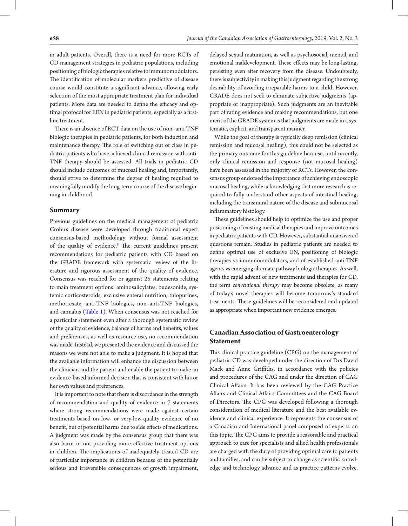in adult patients. Overall, there is a need for more RCTs of CD management strategies in pediatric populations, including positioning of biologic therapies relative to immunomodulators. The identification of molecular markers predictive of disease course would constitute a significant advance, allowing early selection of the most appropriate treatment plan for individual patients. More data are needed to define the efficacy and optimal protocol for EEN in pediatric patients, especially as a firstline treatment.

There is an absence of RCT data on the use of non–anti-TNF biologic therapies in pediatric patients, for both induction and maintenance therapy. The role of switching out of class in pediatric patients who have achieved clinical remission with anti-TNF therapy should be assessed. All trials in pediatric CD should include outcomes of mucosal healing and, importantly, should strive to determine the degree of healing required to meaningfully modify the long-term course of the disease beginning in childhood.

### **Summary**

Previous guidelines on the medical management of pediatric Crohn's disease were developed through traditional expert consensus-based methodology without formal assessment of the quality of evidence.<sup>[8](#page-24-7)</sup> The current guidelines present recommendations for pediatric patients with CD based on the GRADE framework with systematic review of the literature and rigorous assessment of the quality of evidence. Consensus was reached for or against 25 statements relating to main treatment options: aminosalicylates, budesonide, systemic corticosteroids, exclusive enteral nutrition, thiopurines, methotrexate, anti-TNF biologics, non–anti-TNF biologics, and cannabis ([Table 1\)](#page-4-0). When consensus was not reached for a particular statement even after a thorough systematic review of the quality of evidence, balance of harms and benefits, values and preferences, as well as resource use, no recommendation was made. Instead, we presented the evidence and discussed the reasons we were not able to make a judgment. It is hoped that the available information will enhance the discussion between the clinician and the patient and enable the patient to make an evidence-based informed decision that is consistent with his or her own values and preferences.

It is important to note that there is discordance in the strength of recommendation and quality of evidence in 7 statements where strong recommendations were made against certain treatments based on low- or very-low-quality evidence of no benefit, but of potential harms due to side effects of medications. A judgment was made by the consensus group that there was also harm in not providing more effective treatment options in children. The implications of inadequately treated CD are of particular importance in children because of the potentially serious and irreversible consequences of growth impairment,

delayed sexual maturation, as well as psychosocial, mental, and emotional maldevelopment. These effects may be long-lasting, persisting even after recovery from the disease. Undoubtedly, there is subjectivity in making this judgment regarding the strong desirability of avoiding irreparable harms to a child. However, GRADE does not seek to eliminate subjective judgments (appropriate or inappropriate). Such judgments are an inevitable part of rating evidence and making recommendations, but one merit of the GRADE system is that judgments are made in a systematic, explicit, and transparent manner.

While the goal of therapy is typically deep remission (clinical remission and mucosal healing), this could not be selected as the primary outcome for this guideline because, until recently, only clinical remission and response (not mucosal healing) have been assessed in the majority of RCTs. However, the consensus group endorsed the importance of achieving endoscopic mucosal healing, while acknowledging that more research is required to fully understand other aspects of intestinal healing, including the transmural nature of the disease and submucosal inflammatory histology.

These guidelines should help to optimize the use and proper positioning of existing medical therapies and improve outcomes in pediatric patients with CD. However, substantial unanswered questions remain. Studies in pediatric patients are needed to define optimal use of exclusive EN, positioning of biologic therapies vs immunomodulators, and of established anti-TNF agents vs emerging alternate pathway biologic therapies. As well, with the rapid advent of new treatments and therapies for CD, the term *conventional therapy* may become obsolete, as many of today's novel therapies will become tomorrow's standard treatments. These guidelines will be reconsidered and updated as appropriate when important new evidence emerges.

# **Canadian Association of Gastroenterology Statement**

This clinical practice guideline (CPG) on the management of pediatric CD was developed under the direction of Drs David Mack and Anne Griffiths, in accordance with the policies and procedures of the CAG and under the direction of CAG Clinical Affairs. It has been reviewed by the CAG Practice Affairs and Clinical Affairs Committees and the CAG Board of Directors. The CPG was developed following a thorough consideration of medical literature and the best available evidence and clinical experience. It represents the consensus of a Canadian and International panel composed of experts on this topic. The CPG aims to provide a reasonable and practical approach to care for specialists and allied health professionals are charged with the duty of providing optimal care to patients and families, and can be subject to change as scientific knowledge and technology advance and as practice patterns evolve.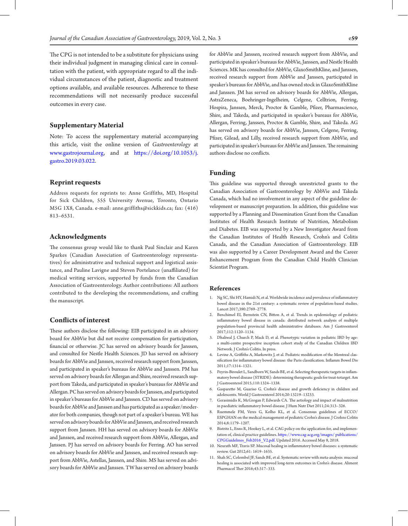The CPG is not intended to be a substitute for physicians using their individual judgment in managing clinical care in consultation with the patient, with appropriate regard to all the individual circumstances of the patient, diagnostic and treatment options available, and available resources. Adherence to these recommendations will not necessarily produce successful outcomes in every case.

#### **Supplementary Material**

Note: To access the supplementary material accompanying this article, visit the online version of *Gastroenterology* at [www.gastrojournal.org,](http://www.gastrojournal.org) and at [https://doi.org/10.1053/j.](https://doi.org/10.1053/j.gastro.2019.03.022) [gastro.2019.03.022.](https://doi.org/10.1053/j.gastro.2019.03.022)

#### **Reprint requests**

Address requests for reprints to: Anne Griffiths, MD, Hospital for Sick Children, 555 University Avenue, Toronto, Ontario M5G 1X8, Canada. e-mail: anne.griffiths@sickkids.ca; fax: (416) 813–6531.

#### **Acknowledgments**

The consensus group would like to thank Paul Sinclair and Karen Sparkes (Canadian Association of Gastroenterology representatives) for administrative and technical support and logistical assistance, and Pauline Lavigne and Steven Portelance (unaffiliated) for medical writing services, supported by funds from the Canadian Association of Gastroenterology. Author contributions: All authors contributed to the developing the recommendations, and crafting the manuscript.

#### **Conflicts of interest**

These authors disclose the following: EIB participated in an advisory board for AbbVie but did not receive compensation for participation, financial or otherwise. JC has served on advisory boards for Janssen, and consulted for Nestle Health Sciences. JD has served on advisory boards for AbbVie and Janssen, received research support from Janssen, and participated in speaker's bureaus for AbbVie and Janssen. PM has served on advisory boards for Allergan and Shire, received research support from Takeda, and participated in speaker's bureaus for AbbVie and Allergan. PC has served on advisory boards for Janssen, and participated in speaker's bureaus for AbbVie and Janssen. CD has served on advisory boards for AbbVie and Janssen and has participated as a speaker/moderator for both companies, though not part of a speaker's bureau. WE has served on advisory boards for AbbVie and Janssen, and received research support from Janssen. HH has served on advisory boards for AbbVie and Janssen, and received research support from AbbVie, Allergan, and Janssen. PJ has served on advisory boards for Ferring. AO has served on advisory boards for AbbVie and Janssen, and received research support from AbbVie, Astellas, Janssen, and Shire. MS has served on advisory boards for AbbVie and Janssen. TW has served on advisory boards for AbbVie and Janssen, received research support from AbbVie, and participated in speaker's bureaus for AbbVie, Janssen, and Nestle Health Sciences. MK has consulted for AbbVie, GlaxoSmithKline, and Janssen, received research support from AbbVie and Janssen, participated in speaker's bureaus for AbbVie, and has owned stock in GlaxoSmithKline and Janssen. JM has served on advisory boards for AbbVie, Allergan, AstraZeneca, Boehringer-Ingelheim, Celgene, Celltrion, Ferring, Hospira, Janssen, Merck, Proctor & Gamble, Pfizer, Pharmascience, Shire, and Takeda, and participated in speaker's bureaus for AbbVie, Allergan, Ferring, Janssen, Proctor & Gamble, Shire, and Takeda. AG has served on advisory boards for AbbVie, Janssen, Celgene, Ferring, Pfizer, Gilead, and Lilly, received research support from AbbVie, and participated in speaker's bureaus for AbbVie and Janssen. The remaining authors disclose no conflicts.

#### **Funding**

This guideline was supported through unrestricted grants to the Canadian Association of Gastroenterology by AbbVie and Takeda Canada, which had no involvement in any aspect of the guideline development or manuscript preparation. In addition, this guideline was supported by a Planning and Dissemination Grant from the Canadian Institutes of Health Research Institute of Nutrition, Metabolism and Diabetes. EIB was supported by a New Investigator Award from the Canadian Institutes of Health Research, Crohn's and Colitis Canada, and the Canadian Association of Gastroenterology. EIB was also supported by a Career Development Award and the Career Enhancement Program from the Canadian Child Health Clinician Scientist Program.

#### **References**

- <span id="page-24-0"></span>1. Ng SC, Shi HY, Hamidi N, et al. Worldwide incidence and prevalence of inflammatory bowel disease in the 21st century: a systematic review of population-based studies. Lancet 2017;390:2769–2778.
- <span id="page-24-1"></span>2. Benchimol EI, Bernstein CN, Bitton A, et al. Trends in epidemiology of pediatric inflammatory bowel disease in canada: distributed network analysis of multiple population-based provincial health administrative databases. Am J Gastroenterol 2017;112:1120–1134.
- <span id="page-24-2"></span>3. Dhaliwal J, Church P, Mack D, et al. Phenotypic variation in pediatric IBD by age: a multi-centre prospective inception cohort study of the Canadian Children IBD Network. J Crohn's Colitis. In press.
- <span id="page-24-3"></span>4. Levine A, Griffiths A, Markowitz J, et al. Pediatric modification of the Montreal classification for inflammatory bowel disease: the Paris classification. Inflamm Bowel Dis 2011;17:1314–1321.
- <span id="page-24-4"></span>5. Peyrin-Biroulet L, Sandborn W, Sands BE, et al. Selecting therapeutic targets in inflammatory bowel disease (STRIDE): determining therapeutic goals for treat-totarget. Am J Gastroenterol 2015;110:1324–1338.
- <span id="page-24-5"></span>6. Gasparetto M, Guariso G. Crohn's disease and growth deficiency in children and adolescents. World J Gastroenterol 2014;20:13219–13233.
- <span id="page-24-6"></span>7. Gerasimidis K, McGrogan P, Edwards CA. The aetiology and impact of malnutrition in paediatric inflammatory bowel disease. J Hum Nutr Diet 2011;24:313–326.
- <span id="page-24-7"></span>8. Ruemmele FM, Veres G, Kolho KL, et al. Consensus guidelines of ECCO/ ESPGHAN on the medical management of pediatric Crohn's disease. J Crohns Colitis 2014;8:1179–1207.
- <span id="page-24-8"></span>9. Bistritz L, Enns R, Hookey L, et al. CAG policy on the application for, and implementation of, clinical practice guidelines. [https://www.cag-acg.org/images/ publications/](https://www.cag-acg.org/images/ publications/CPGGuidelines_Feb2016_V2.pdf) [CPGGuidelines\\_Feb2016\\_V2.pdf](https://www.cag-acg.org/images/ publications/CPGGuidelines_Feb2016_V2.pdf). Updated 2016. Accessed May 8, 2018.
- <span id="page-24-9"></span>10. Neurath MF, Travis SP. Mucosal healing in inflammatory bowel diseases: a systematic review. Gut 2012;61: 1619–1635.
- <span id="page-24-10"></span>11. Shah SC, Colombel JF, Sands BE, et al. Systematic review with meta-analysis: mucosal healing is associated with improved long-term outcomes in Crohn's disease. Aliment Pharmacol Ther 2016;43:317–333.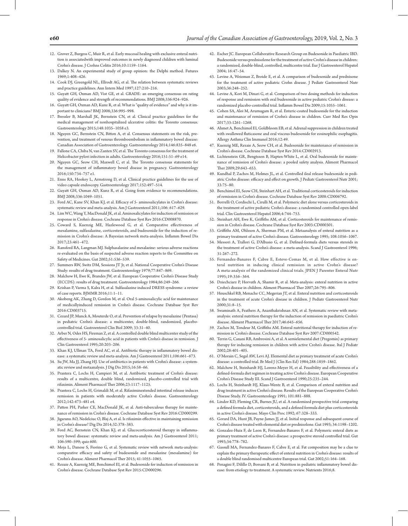- <span id="page-25-38"></span>12. Grover Z, Burgess C, Muir R, et al. Early mucosal healing with exclusive enteral nutrition is associatedwith improved outcomes in newly diagnosed children with luminal Crohn's disease. J Crohns Colitis 2016;10:1159–1164.
- <span id="page-25-0"></span>13. Dalkey N. An experimental study of group opinion: the Delphi method. Futures 1969;1:408–426.
- <span id="page-25-1"></span>14. Cook DJ, Greengold NL, Ellrodt AG, et al. The relation between systematic reviews and practice guidelines. Ann Intern Med 1997;127:210–216.
- <span id="page-25-2"></span>15. Guyatt GH, Oxman AD, Vist GE, et al. GRADE: an emerging consensus on rating quality of evidence and strength of recommendations. BMJ 2008;336:924–926.
- <span id="page-25-3"></span>16. Guyatt GH, Oxman AD, Kunz R, et al. What is "quality of evidence" and why is it important to clinicians? BMJ 2008;336:995–998.
- 17. Bressler B, Marshall JK, Bernstein CN, et al. Clinical practice guidelines for the medical management of nonhospitalized ulcerative colitis: the Toronto consensus. Gastroenterology 2015;148:1035–1058 e3.
- 18. Nguyen GC, Bernstein CN, Bitton A, et al. Consensus statements on the risk, prevention, and treatment of venous thromboembolism in inflammatory bowel disease: Canadian Association of Gastroenterology. Gastroenterology 2014;146:835–848 e6.
- 19. Fallone CA, Chiba N, van Zanten SV, et al. The Toronto consensus for the treatment of Helicobacter pylori infection in adults. Gastroenterology 2016;151:51–69 e14.
- 20. Nguyen GC, Seow CH, Maxwell C, et al. The Toronto consensus statements for the management of inflammatory bowel disease in pregnancy. Gastroenterology 2016;150:734–757 e1.
- 21. Enns RA, Hookey L, Armstrong D, et al. Clinical practice guidelines for the use of video capsule endoscopy. Gastroenterology 2017;152:497–514.
- <span id="page-25-4"></span>22. Guyatt GH, Oxman AD, Kunz R, et al. Going from evidence to recommendations. BMJ 2008;336:1049–1051.
- <span id="page-25-5"></span>23. Ford AC, Kane SV, Khan KJ, et al. Efficacy of 5- aminosalicylates in Crohn's disease: systematic review and meta-analysis. Am J Gastroenterol 2011;106: 617–629.
- <span id="page-25-6"></span>24. Lim WC, Wang Y, MacDonald JK, et al. Aminosalicylates for induction of remission or response in Crohn's disease. Cochrane Database Syst Rev 2016:CD008870.
- <span id="page-25-7"></span>25. Coward S, Kuenzig ME, Hazlewood G, et al. Comparative effectiveness of mesalamine, sulfasalazine, corticosteroids, and budesonide for the induction of remission in Crohn's disease: A Bayesian network meta-analysis. Inflamm Bowel Dis 2017;23:461–472.
- <span id="page-25-8"></span>26. Ransford RA, Langman MJ. Sulphasalazine and mesalazine: serious adverse reactions re-evaluated on the basis of suspected adverse reaction reports to the Committee on Safety of Medicines. Gut 2002;51:536–539.
- <span id="page-25-9"></span>27. Summers RW, Switz DM, Sessions JT Jr, et al. National Cooperative Crohn's Disease Study: results of drug treatment. Gastroenterology 1979;77:847–869.
- <span id="page-25-10"></span>28. Malchow H, Ewe K, Brandes JW, et al. European Cooperative Crohn's Disease Study (ECCDS): results of drug treatment. Gastroenterology 1984;86:249–266.
- <span id="page-25-11"></span>29. Krishan P, Varma S, Kalra H, et al. Sulfasalazine induced DRESS syndrome: a review of case reports. BJMMR 2016;11:1–11.
- <span id="page-25-12"></span>30. Akobeng AK, Zhang D, Gordon M, et al. Oral 5-aminosalicylic acid for maintenance of medicallyinduced remission in Crohn's disease. Cochrane Database Syst Rev 2016:CD003715.
- <span id="page-25-13"></span>31. Cezard JP, Munck A, Mouterde O, et al. Prevention of relapse by mesalazine (Pentasa) in pediatric Crohn's disease: a multicenter, double-blind, randomized, placebocontrolled trial. Gastroenterol Clin Biol 2009; 33:31–40.
- <span id="page-25-14"></span>32. Arber N, Odes HS, Fireman Z, et al. A controlled double blind multicenter study of the effectiveness of 5- aminosalicylic acid in patients with Crohn's disease in remission. J Clin Gastroenterol 1995;20:203–206.
- <span id="page-25-15"></span>33. Khan KJ, Ullman TA, Ford AC, et al. Antibiotic therapy in inflammatory bowel disease: a systematic review and meta-analysis. Am J Gastroenterol 2011;106:661–673.
- <span id="page-25-16"></span>34. Su JW, Ma JJ, Zhang HJ. Use of antibiotics in patients with Crohn's disease: a systematic review and metaanalysis. J Dig Dis 2015;16:58–66.
- <span id="page-25-17"></span>35. Prantera C, Lochs H, Campieri M, et al. Antibiotic treatment of Crohn's disease: results of a multicentre, double blind, randomized, placebo-controlled trial with rifaximin. Aliment Pharmacol Ther 2006;23:1117–1125.
- <span id="page-25-18"></span>36. Prantera C, Lochs H, Grimaldi M, et al. Rifaximinextended intestinal release induces remission in patients with moderately active Crohn's disease. Gastroenterology 2012;142:473–481 e4.
- <span id="page-25-19"></span>37. Patton PH, Parker CE, MacDonald JK, et al. Anti-tuberculous therapy for maintenance of remission in Crohn's disease. Cochrane Database Syst Rev 2016:CD000299.
- <span id="page-25-20"></span>38. Jigaranu AO, Nedelciuc O, Blaj A, et al. Is rifaximin effective in maintaining remission in Crohn's disease? Dig Dis 2014;32:378–383.
- <span id="page-25-28"></span>39. Ford AC, Bernstein CN, Khan KJ, et al. Glucocorticosteroid therapy in inflammatory bowel disease: systematic review and meta-analysis. Am J Gastroenterol 2011; 106:590–599; quiz 600.
- <span id="page-25-22"></span>40. Moja L, Danese S, Fiorino G, et al. Systematic review with network meta-analysis: comparative efficacy and safety of budesonide and mesalazine (mesalamine) for Crohn's disease. Aliment Pharmacol Ther 2015; 41:1055–1065.
- <span id="page-25-21"></span>41. Rezaie A, Kuenzig ME, Benchimol EI, et al. Budesonide for induction of remission in Crohn's disease. Cochrane Database Syst Rev 2015:CD000296.
- <span id="page-25-23"></span>42. Escher JC. European Collaborative Research Group on Budesonide in Paediatric IBD. Budesonide versus prednisolone for the treatment of active Crohn's disease in children: a randomized, double-blind, controlled, multicentre trial. Eur J Gastroenterol Hepatol 2004; 16:47–54.
- <span id="page-25-24"></span>43. Levine A, Weizman Z, Broide E, et al. A comparison of budesonide and prednisone for the treatment of active pediatric Crohn disease. J Pediatr Gastroenterol Nutr 2003;36:248–252.
- <span id="page-25-25"></span>44. Levine A, Kori M, Dinari G, et al. Comparison of two dosing methods for induction of response and remission with oral budesonide in active pediatric Crohn's disease: a randomized placebo-controlled trial. Inflamm Bowel Dis 2009;15:1055–1061.
- <span id="page-25-26"></span>45. Cohen SA, Aloi M, Arumugam R, et al. Enteric-coated budesonide for the induction and maintenance of remission of Crohn's disease in children. Curr Med Res Opin 2017;33:1261–1268.
- <span id="page-25-27"></span>46. Ahmet A, Benchimol EI, Goldbloom EB, et al. Adrenal suppression in children treated with swallowed fluticasone and oral viscous budesonide for eosinophilic esophagitis. Allergy Asthma Clin Immunol 2016;12:49.
- <span id="page-25-29"></span>47. Kuenzig ME, Rezaie A, Seow CH, et al. Budesonide for maintenance of remission in Crohn's disease. Cochrane Database Syst Rev 2014:CD002913.
- <span id="page-25-30"></span>48. Lichtenstein GR, Bengtsson B, Hapten-White L, et al. Oral budesonide for maintenance of remission of Crohn's disease: a pooled safety analysis. Aliment Pharmacol Ther 2009;29:643–653.
- <span id="page-25-31"></span>49. Kundhal P, Zachos M, Holmes JL, et al. Controlled ileal release budesonide in pediatric Crohn disease: efficacy and effect on growth. J Pediatr Gastroenterol Nutr 2001; 33:75–80.
- <span id="page-25-32"></span>50. Benchimol EI, Seow CH, Steinhart AH, et al. Traditional corticosteroids for induction of remission in Crohn's disease. Cochrane Database Syst Rev 2008:CD006792.
- <span id="page-25-33"></span>51. Borrelli O, Cordischi L, Cirulli M, et al. Polymeric diet alone versus corticosteroids in the treatment of active pediatric Crohn's disease: a randomized controlled open-label trial. Clin Gastroenterol Hepatol 2006;4:744–753.
- <span id="page-25-34"></span>52. Steinhart AH, Ewe K, Griffiths AM, et al. Corticosteroids for maintenance of remission in Crohn's disease. Cochrane Database Syst Rev 2003:CD000301.
- 53. Griffiths AM, Ohlsson A, Sherman PM, et al. Metaanalysis of enteral nutrition as a primary treatment of active Crohn's disease. Gastroenterology 1995; 108:1056–1067.
- 54. Messori A, Trallori G, D'Albasio G, et al. Defined-formula diets versus steroids in the treatment of active Crohn's disease: a meta-analysis. Scand J Gastroenterol 1996; 31:267–272.
- 55. Fernandez-Banares F, Cabre E, Esteve-Comas M, et al. How effective is enteral nutrition in inducing clinical remission in active Crohn's disease? A meta-analysis of the randomized clinical trials. JPEN J Parenter Enteral Nutr 1995;19:356–364.
- 56. Dziechciarz P, Horvath A, Shamir R, et al. Meta-analysis: enteral nutrition in active Crohn's disease in children. Aliment Pharmacol Ther 2007;26:795–806.
- 57. Heuschkel RB, Menache CC, Megerian JT, et al. Enteral nutrition and corticosteroids in the treatment of acute Crohn's disease in children. J Pediatr Gastroenterol Nutr 2000;31:8–15.
- 58. Swaminath A, Feathers A, Ananthakrishnan AN, et al. Systematic review with metaanalysis: enteral nutrition therapy for the induction of remission in paediatric Crohn's disease. Aliment Pharmacol Ther 2017;46:645–656.
- <span id="page-25-35"></span>59. Zachos M, Tondeur M, Griffiths AM. Enteral nutritional therapy for induction of remission in Crohn's disease. Cochrane Database Syst Rev 2007:CD000542.
- <span id="page-25-36"></span>60. Terrin G, Canani RB, Ambrosini A, et al. A semielemental diet (Pregomin) as primary therapy for inducing remission in children with active Crohn's disease. Ital J Pediatr 2002;28:401–405.
- 61. O'Morain C, Segal AW, Levi AJ. Elemental diet as primary treatment of acute Crohn's disease: a controlled trial. Br Med J (Clin Res Ed) 1984;288:1859–1862.
- 62. Malchow H, Steinhardt HJ, Lorenz-Meyer H, et al. Feasibility and effectiveness of a defined-formula diet regimen in treating active Crohn's disease. European Cooperative Crohn's Disease Study III. Scand J Gastroenterol 1990;25:235–244.
- 63. Lochs H, Steinhardt HJ, Klaus-Wentz B, et al. Comparison of enteral nutrition and drug treatment in active Crohn's disease. Results of the European Cooperative Crohn's Disease Study. IV. Gastroenterology 1991; 101:881–888.
- 64. Lindor KD, Fleming CR, Burnes JU, et al. A randomized prospective trial comparing a defined formula diet, corticosteroids, and a defined formula diet plus corticosteroids in active Crohn's disease. Mayo Clin Proc 1992; 67:328–333.
- 65. Gorard DA, Hunt JB, Payne-James JJ, et al. Initial response and subsequent course of Crohn's disease treated with elemental diet or prednisolone. Gut 1993; 34:1198–1202.
- 66. Gonzalez-Huix F, de Leon R, Fernandez-Banares F, et al. Polymeric enteral diets as primary treatment of active Crohn's disease: a prospective steroid controlled trial. Gut 1993;34:778–782.
- 67. Gassull MA, Fernandez-Banares F, Cabre E, et al. Fat composition may be a clue to explain the primary therapeutic effect of enteral nutrition in Crohn's disease: results of a double blind randomised multicentre European trial. Gut 2002;51:164–168.
- <span id="page-25-37"></span>68. Penagini F, Dilillo D, Borsani B, et al. Nutrition in pediatric inflammatory bowel disease: from etiology to treatment. A systematic review. Nutrients 2016;8.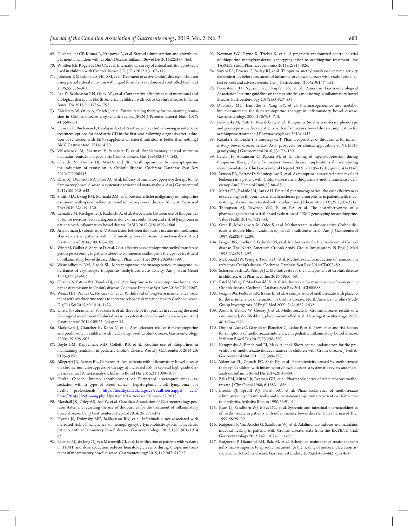- <span id="page-26-0"></span>69. Duchatellier CF, Kumar R, Krupoves A, et al. Steroid administration and growth impairment in children with Crohn's Disease. Inflamm Bowel Dis 2016;22:355–363.
- <span id="page-26-1"></span>70. Whitten KE, Rogers P, Ooi CY, et al. International survey of enteral nutrition protocols used in children with Crohn's disease. J Dig Dis 2012;13:107–112.
- <span id="page-26-2"></span>71. Johnson T, Macdonald S, Hill SM, et al. Treatment of active Crohn's disease in children using partial enteral nutrition with liquid formula: a randomised controlled trial. Gut 2006;55:356–361.
- <span id="page-26-3"></span>72. Lee D, Baldassano RN, Otley AR, et al. Comparative effectiveness of nutritional and biological therapy in North American children with active Crohn's disease. Inflamm Bowel Dis 2015;21:1786–1793.
- <span id="page-26-4"></span>73. El-Matary W, Otley A, Critch J, et al. Enteral feeding therapy for maintaining remission in Crohn's disease: a systematic review. JPEN J Parenter Enteral Nutr 2017; 41:550–561.
- <span id="page-26-5"></span>74. Duncan H, Buchanan E, Cardigan T, et al. A retrospective study showing maintenance treatment options for paediatric CD in the first year following diagnosis after induction of remission with EEN: supplemental enteral nutrition is better than nothing! BMC Gastroenterol 2014;14:50.
- <span id="page-26-6"></span>75. Wilschanski M, Sherman P, Pencharz P, et al. Supplementary enteral nutrition maintains remission in paediatric Crohn's disease. Gut 1996;38:543–548.
- <span id="page-26-7"></span>76. Chande N, Tsoulis DJ, MacDonald JK. Azathioprine or 6- mercaptopurine for induction of remission in Crohn's disease. Cochrane Database Syst Rev 2013:CD000545.
- <span id="page-26-8"></span>77. Khan KJ, Dubinsky MC, Ford AC, et al. Efficacy of immunosuppressive therapy for inflammatory bowel disease: a systematic review and meta-analysis. Am J Gastroenterol 2011;106:630–642.
- <span id="page-26-9"></span>78. Smith MA, Irving PM, Marinaki AM, et al. Review article: malignancy on thiopurine treatment with special reference to inflammatory bowel disease. Aliment Pharmacol Ther 2010;32:119–130.
- <span id="page-26-10"></span>79. Lemaitre M, Kirchgesner J, Rudnichi A, et al. Association between use of thiopurines or tumor necrosis factor antagonists alone or in combination and risk of lymphoma in patients with inflammatory bowel disease. JAMA 2017;318:1679–1686.
- <span id="page-26-11"></span>80. Ariyaratnam J, Subramanian V. Association between thiopurine use and nonmelanoma skin cancers in patients with inflammatory bowel disease: a meta-analysis. Am J Gastroenterol 2014;109:163–169.
- <span id="page-26-12"></span>81. Winter J, Walker A, Shapiro D, et al. Cost-effectiveness of thiopurine methyltransferase genotype screening in patients about to commence azathioprine therapy for treatment of inflammatory bowel disease. Aliment Pharmacol Ther 2004;20:593–599.
- <span id="page-26-13"></span>82. Weinshilboum RM, Sladek SL. Mercaptopurine pharmacogenetics: monogenic inheritance of erythrocyte thiopurine methyltransferase activity. Am J Hum Genet 1980;32:651–662.
- <span id="page-26-14"></span>83. Chande N, Patton PH, Tsoulis DJ, et al. Azathioprine or 6-mercaptopurine for maintenance of remission in Crohn's disease. Cochrane Database Syst Rev 2015:CD000067.
- <span id="page-26-15"></span>84. Wenzl HH, Primas C, Novacek G, et al. Withdrawal of long-term maintenance treatment with azathioprine tends to increase relapse risk in patients with Crohn's disease. Dig Dis Sci 2015;60:1414–1423.
- <span id="page-26-16"></span>85. Chatu S, Subramanian V, Saxena S, et al. The role of thiopurines in reducing the need for surgical resection in Crohn's disease: a systematic review and meta-analysis. Am J Gastroenterol 2014;109:23–34; quiz 35.
- <span id="page-26-17"></span>86. Markowitz J, Grancher K, Kohn N, et al. A multicenter trial of 6-mercaptopurine and prednisone in children with newly diagnosed Crohn's disease. Gastroenterology 2000;119:895–902.
- <span id="page-26-18"></span>87. Boyle BM, Kappelman MD, Colletti RB, et al. Routine use of thiopurines in maintaining remission in pediatric Crohn's disease. World J Gastroenterol 2014;20: 9185–9190.
- <span id="page-26-19"></span>88. Allegretti JR, Barnes EL, Cameron A. Are patients with inflammatory bowel disease on chronic immunosuppressive therapy at increased risk of cervical high-grade dysplasia/cancer? A meta-analysis. Inflamm Bowel Dis 2015;21:1089–1097.
- <span id="page-26-20"></span>89. Health Canada. Imuran (azathioprine) or Purinethol (mercaptopurine)—association with a type of blood cancer—hepatosplenic T-cell lymphoma—for health professionals. http://healthycanadians.gc.ca/recall-alertrappel[hc-sc/2014/38691a-eng.php](http://healthycanadians.gc.ca/recall-alertrappel- avis/hc-sc/2014/38691a-eng.php). Updated 2014. Accessed January 17, 2015.
- <span id="page-26-21"></span>90. Marshall JK, Otley AR, Afif W, et al. Canadian Association of Gastroenterology position statement regarding the use of thiopurines for the treatment of inflammatory bowel disease. Can J Gastroenterol Hepatol 2014; 28:371–372.
- <span id="page-26-22"></span>91. Hyams JS, Dubinsky MC, Baldassano RN, et al. Infliximab is not associated with increased risk of malignancy or hemophagocytic lymphohistiocytosis in pediatric patients with inflammatory bowel disease. Gastroenterology 2017;152:1901–1914 e3.
- <span id="page-26-23"></span>92. Coenen MJ, de Jong DJ, van Marrewijk CJ, et al. Identification of patients with variants in TPMT and dose reduction reduces hematologic events during thiopurine treatment of inflammatory bowel disease. Gastroenterology 2015;149:907–917 e7.
- <span id="page-26-24"></span>93. Newman WG, Payne K, Tricker K, et al. A pragmatic randomized controlled trial of thiopurine methyltransferase genotyping prior to azathioprine treatment: the TARGET study. Pharmacogenomics 2011;12:815–826.
- <span id="page-26-25"></span>94. Sayani FA, Prosser C, Bailey RJ, et al. Thiopurine methyltransferase enzyme activity determination before treatment of inflammatory bowel disease with azathioprine: effect on cost and adverse events. Can J Gastroenterol 2005;19:147–151.
- <span id="page-26-26"></span>95. Feuerstein JD, Nguyen GC, Kupfer SS, et al. American Gastroenterological Association Institute guideline on therapeutic drug monitoring in inflammatory bowel disease. Gastroenterology 2017;153:827–834.
- <span id="page-26-27"></span>96. Dubinsky MC, Lamothe S, Yang HY, et al. Pharmacogenomics and metabolite measurement for 6-mercaptopurine therapy in inflammatory bowel disease. Gastroenterology 2000;118:705–713.
- <span id="page-26-28"></span>97. Jankowski M, Piotr L, Kowalski R, et al. Thiopurine Smethyltransferase phenotype and genotype in pediatric patients with inflammatory bowel disease; implication for azathioprine treatment. J Pharmacovigilance 2013;1:113.
- <span id="page-26-29"></span>98. Kakuta Y, Kinouchi Y, Shimosegawa T. Pharmacogenetics of thiopurines for inflammatory bowel disease in East Asia: prospects for clinical application of NUDT15 genotyping. J Gastroenterol 2018;53:172–180.
- <span id="page-26-30"></span>99. Lewis JD, Abramson O, Pascua M, et al. Timing of myelosuppression during thiopurine therapy for inflammatory bowel disease: implications for monitoring recommendations. Clin Gastroenterol Hepatol 2009; 7:1195–1201; quiz 1141–1142.
- <span id="page-26-31"></span>100. Yenson PR, Forrest D, Schmiegelow K, et al. Azathioprine- associated acute myeloid leukemia in a patient with Crohn's disease and thiopurine S-methyltransferase deficiency. Am J Hematol 2008;83:80–83.
- <span id="page-26-32"></span>101. Marra CA, Esdaile JM, Anis AH. Practical pharmacogenetics: the cost effectiveness of screening for thiopurine s-methyltransferase polymorphisms in patients with rheumatological conditions treated with azathioprine. J Rheumatol 2002;29:2507–2512.
- <span id="page-26-33"></span>102. Thompson AJ, Newman WG, Elliott RA, et al. The costeffectiveness of a pharmacogenetic test: a trial-based evaluation of TPMT genotyping for azathioprine. Value Health 2014;17:22–33.
- <span id="page-26-34"></span>103. Oren R, Moshkowitz M, Odes S, et al. Methotrexate in chronic active Crohn's disease: a double-blind, randomized, Israeli multicenter trial. Am J Gastroenterol 1997;92:2203–2209.
- <span id="page-26-35"></span>104. Feagan BG, Rochon J, Fedorak RN, et al. Methotrexate for the treatment of Crohn's disease. The North American Crohn's Study Group Investigators. N Engl J Med 1995;332:292–297.
- <span id="page-26-36"></span>105. McDonald JW, Wang Y, Tsoulis DJ, et al. Methotrexate for induction of remission in refractory Crohn's disease. Cochrane Database Syst Rev 2014:CD003459.
- <span id="page-26-37"></span>106. Scherkenbach LA, Stumpf JL. Methotrexate for the management of Crohn's disease in children. Ann Pharmacother 2016;50:60–69.
- <span id="page-26-38"></span>107. Patel V, Wang Y, MacDonald JK, et al. Methotrexate for maintenance of remission in Crohn's disease. Cochrane Database Syst Rev 2014:CD006884.
- <span id="page-26-39"></span>108. Feagan BG, Fedorak RN, Irvine EJ, et al. A comparison of methotrexate with placebo for the maintenance of remission in Crohn's disease. North American Crohn's Study Group Investigators. N Engl J Med 2000; 342:1627–1632.
- <span id="page-26-40"></span>109. Arora S, Katkov W, Cooley J, et al. Methotrexate in Crohn's disease: results of a randomized, double-blind, placebo-controlled trial. Hepatogastroenterology 1999; 46:1724–1729.
- <span id="page-26-41"></span>110. Dupont-Lucas C, Grandjean-Blanchet C, Leduc B, et al. Prevalence and risk factors for symptoms of methotrexate intolerance in pediatric inflammatory bowel disease. Inflamm Bowel Dis 2017;23:298–303.
- <span id="page-26-42"></span>111. Kempinska A, Benchimol EI, Mack A, et al. Short-course ondansetron for the prevention of methotrexate-induced nausea in children with Crohn disease. J Pediatr Gastroenterol Nutr 2011;53:389–393.
- <span id="page-26-43"></span>112. Valentino PL, Church PC, Shah PS, et al. Hepatotoxicity caused by methotrexate therapy in children with inflammatory bowel disease: a systematic review and metaanalysis. Inflamm Bowel Dis 2014;20:47–59.
- <span id="page-26-44"></span>113. Balis FM, Mirro J Jr, Reaman GH, et al. Pharmacokinetics of subcutaneous methotrexate. J Clin Oncol 1988; 6:1882–1886.
- <span id="page-26-45"></span>114. Brooks PJ, Spruill WJ, Parish RC, et al. Pharmacokinetics of methotrexate administered by intramuscular and subcutaneous injections in patients with rheumatoid arthritis. Arthritis Rheum 1990;33:91–94.
- <span id="page-26-46"></span>115. Egan LJ, Sandborn WJ, Mays DC, et al. Systemic and intestinal pharmacokinetics of methotrexate in patients with inflammatory bowel disease. Clin Pharmacol Ther 1999;65:29–39.
- 116. Rutgeerts P, Van Assche G, Sandborn WJ, et al. Adalimumab induces and maintains mucosal healing in patients with Crohn's disease: data from the EXTEND trial. Gastroenterology 2012;142:1102–1111 e2.
- 117. Rutgeerts P, Diamond RH, Bala M, et al. Scheduled maintenance treatment with infliximab is superior to episodic treatment for the healing of mucosal ulceration associated with Crohn's disease. Gastrointest Endosc 2006;63:433–442; quiz 464.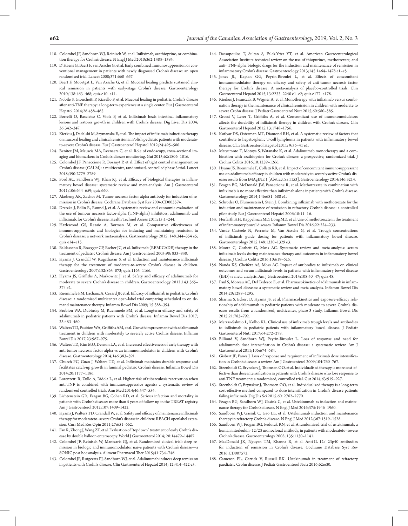- <span id="page-27-0"></span>118. Colombel JF, Sandborn WJ, Reinisch W, et al. Infliximab, azathioprine, or combination therapy for Crohn's disease. N Engl J Med 2010;362:1383–1395.
- <span id="page-27-1"></span>119. D'Haens G, Baert F, van Assche G, et al. Early combined immunosuppression or conventional management in patients with newly diagnosed Crohn's disease: an open randomised trial. Lancet 2008;371:660–667.
- <span id="page-27-2"></span>120. Baert F, Moortgat L, Van Assche G, et al. Mucosal healing predicts sustained clinical remission in patients with early-stage Crohn's disease. Gastroenterology 2010;138:463–468; quiz e10–e11.
- 121. Nobile S, Gionchetti P, Rizzello F, et al. Mucosal healing in pediatric Crohn's disease after anti-TNF therapy: a long-term experience at a single center. Eur J Gastroenterol Hepatol 2014;26:458–465.
- 122. Borrelli O, Bascietto C, Viola F, et al. Infliximab heals intestinal inflammatory lesions and restores growth in children with Crohn's disease. Dig Liver Dis 2004; 36:342–347.
- 123. Kierkus J, Dadalski M, Szymanska E, et al. The impact of infliximab induction therapy on mucosal healing and clinical remission in Polish pediatric patients with moderateto-severe Crohn's disease. Eur J Gastroenterol Hepatol 2012;24:495–500.
- <span id="page-27-3"></span>124. Benitez JM, Meuwis MA, Reenaers C, et al. Role of endoscopy, cross-sectional imaging and biomarkers in Crohn's disease monitoring. Gut 2013;62:1806–1816.
- <span id="page-27-4"></span>125. Colombel JF, Panaccione R, Bossuyt P, et al. Effect of tight control management on Crohn's disease (CALM): a multicentre, randomised, controlled phase 3 trial. Lancet 2018;390:2779–2789.
- <span id="page-27-5"></span>126. Ford AC, Sandborn WJ, Khan KJ, et al. Efficacy of biological therapies in inflammatory bowel disease: systematic review and meta-analysis. Am J Gastroenterol 2011;106:644–659; quiz 660.
- 127. Akobeng AK, Zachos M. Tumor necrosis factor-alpha antibody for induction of remission in Crohn's disease. Cochrane Database Syst Rev 2004:CD003574.
- 128. Dretzke J, Edlin R, Round J, et al. A systematic review and economic evaluation of the use of tumour necrosis factor-alpha (TNF-alpha) inhibitors, adalimumab and infliximab, for Crohn's disease. Health Technol Assess 2011;15:1–244.
- <span id="page-27-6"></span>129. Hazlewood GS, Rezaie A, Borman M, et al. Comparative effectiveness of immunosuppressants and biologics for inducing and maintaining remission in Crohn's disease: a network meta-analysis. Gastroenterology 2015; 148:344–354 e5; quiz e14–e15.
- 130. Baldassano R, Braegger CP, Escher JC, et al. Infliximab (REMICADE) therapy in the treatment of pediatric Crohn's disease. Am J Gastroenterol 2003;98: 833–838.
- <span id="page-27-8"></span>131. Hyams J, Crandall W, Kugathasan S, et al. Induction and maintenance infliximab therapy for the treatment of moderate-to-severe Crohn's disease in children. Gastroenterology 2007;132:863–873; quiz 1165–1166.
- <span id="page-27-7"></span>132. Hyams JS, Griffiths A, Markowitz J, et al. Safety and efficacy of adalimumab for moderate to severe Crohn's disease in children. Gastroenterology 2012;143:365– 374 e2.
- <span id="page-27-9"></span>133. Ruemmele FM, Lachaux A, Cezard JP, et al. Efficacy of infliximab in pediatric Crohn's disease: a randomized multicenter open-label trial comparing scheduled to on demand maintenance therapy. Inflamm Bowel Dis 2009; 15:388–394.
- <span id="page-27-10"></span>134. Faubion WA, Dubinsky M, Ruemmele FM, et al. Longterm efficacy and safety of adalimumab in pediatric patients with Crohn's disease. Inflamm Bowel Dis 2017; 23:453–460.
- <span id="page-27-11"></span>135. Walters TD, Faubion WA, Griffiths AM, et al. Growth improvement with adalimumab treatment in children with moderately to severely active Crohn's disease. Inflamm Bowel Dis 2017;23:967–975.
- <span id="page-27-12"></span>136. Walters TD, Kim MO, Denson LA, et al. Increased effectiveness of early therapy with anti-tumor necrosis factor-alpha vs an immunomodulator in children with Crohn's disease. Gastroenterology 2014;146:383–391.
- <span id="page-27-13"></span>137. Church PC, Guan J, Walters TD, et al. Infliximab maintains durable response and facilitates catch-up growth in luminal pediatric Crohn's disease. Inflamm Bowel Dis 2014;20:1177–1186.
- <span id="page-27-14"></span>138. Lorenzetti R, Zullo A, Ridola L, et al. Higher risk of tuberculosis reactivation when anti-TNF is combined with immunosuppressive agents: a systematic review of randomized controlled trials. Ann Med 2014;46:547–554.
- <span id="page-27-15"></span>139. Lichtenstein GR, Feagan BG, Cohen RD, et al. Serious infection and mortality in patients with Crohn's disease: more than 5 years of follow-up in the TREAT registry. Am J Gastroenterol 2012;107:1409–1422.
- <span id="page-27-16"></span>140. Hyams J, Walters TD, Crandall W, et al. Safety and efficacy of maintenance infliximab therapy for moderateto- severe Crohn's disease in children: REACH openlabel extension. Curr Med Res Opin 2011;27:651–662.
- <span id="page-27-17"></span>141. Fan R, Zhong J, Wang ZT, et al. Evaluation of "topdown" treatment of early Crohn's disease by double balloon enteroscopy. World J Gastroenterol 2014; 20:14479–14487.
- <span id="page-27-18"></span>142. Colombel JF, Reinisch W, Mantzaris GJ, et al. Randomised clinical trial: deep remission in biologic and immunomodulator naive patients with Crohn's disease—a SONIC post hoc analysis. Aliment Pharmacol Ther 2015;41:734–746.
- <span id="page-27-19"></span>143. Colombel JF, Rutgeerts PJ, Sandborn WJ, et al. Adalimumab induces deep remission in patients with Crohn's disease. Clin Gastroenterol Hepatol 2014; 12:414–422 e5.
- <span id="page-27-20"></span>144. Dassopoulos T, Sultan S, Falck-Ytter YT, et al. American Gastroenterological Association Institute technical review on the use of thiopurines, methotrexate, and anti- TNF-alpha biologic drugs for the induction and maintenance of remission in inflammatory Crohn's disease. Gastroenterology 2013;145:1464–1478 e1–e5.
- <span id="page-27-21"></span>145. Jones JL, Kaplan GG, Peyrin-Biroulet L, et al. Effects of concomitant immunomodulator therapy on efficacy and safety of anti-tumor necrosis factor therapy for Crohn's disease: A meta-analysis of placebo-controlled trials. Clin Gastroenterol Hepatol 2015;13:2233–2240 e1–e2; quiz e177–e178.
- <span id="page-27-22"></span>146. Kierkus J, Iwanczak B, Wegner A, et al. Monotherapy with infliximab versus combination therapy in the maintenance of clinical remission in children with moderate to severe Crohn disease. J Pediatr Gastroenterol Nutr 2015;60:580–585.
- <span id="page-27-23"></span>147. Grossi V, Lerer T, Griffiths A, et al. Concomitant use of immunomodulators affects the durability of infliximab therapy in children with Crohn's disease. Clin Gastroenterol Hepatol 2015;13:1748–1756.
- <span id="page-27-24"></span>148. Kotlyar DS, Osterman MT, Diamond RH, et al. A systematic review of factors that contribute to hepatosplenic T-cell lymphoma in patients with inflammatory bowel disease. Clin Gastroenterol Hepatol 2011; 9:36–41 e1.
- <span id="page-27-25"></span>149. Matsumoto T, Motoya S, Watanabe K, et al. Adalimumab monotherapy and a combination with azathioprine for Crohn's disease: a prospective, randomized trial. J Crohns Colitis 2016;10:1259–1266.
- <span id="page-27-26"></span>150. Hyams JS, Ruemmele F, Colletti RB, et al. Impact of concomitant immunosuppressant use on adalimumab efficacy in children with moderately to severely active Crohn's disease: results from IMAgINE 1 [Abstract Sa 1153]. Gastroenterology 2014;146:S214.
- <span id="page-27-27"></span>151. Feagan BG, McDonald JW, Panaccione R, et al. Methotrexate in combination with infliximab is no more effective than infliximab alone in patients with Crohn's disease. Gastroenterology 2014;146:681–688 e1.
- <span id="page-27-28"></span>152. Schroder O, Blumenstein I, Stein J. Combining infliximab with methotrexate for the induction and maintenance of remission in refractory Crohn's disease: a controlled pilot study. Eur J Gastroenterol Hepatol 2006;18:11–16.
- <span id="page-27-29"></span>153. Herfarth HH, Kappelman MD, Long MD, et al. Use of methotrexate in the treatment of inflammatory bowel diseases. Inflamm Bowel Dis 2016;22:224–233.
- <span id="page-27-30"></span>154. Vande Casteele N, Ferrante M, Van Assche G, et al. Trough concentrations of infliximab guide dosing for patients with inflammatory bowel disease. Gastroenterology 2015;148:1320–1329 e3.
- <span id="page-27-31"></span>155. Moore C, Corbett G, Moss AC. Systematic review and meta-analysis: serum infliximab levels during maintenance therapy and outcomes in inflammatory bowel disease. J Crohns Colitis 2016;10:619–625.
- <span id="page-27-32"></span>156. Nanda KS, Cheifetz AS, Moss AC. Impact of antibodies to infliximab on clinical outcomes and serum infliximab levels in patients with inflammatory bowel disease (IBD): a meta-analysis. Am J Gastroenterol 2013;108:40–47; quiz 48.
- <span id="page-27-33"></span>157. Paul S, Moreau AC, Del Tedesco E, et al. Pharmacokinetics of adalimumab in inflammatory bowel diseases: a systematic review and meta-analysis. Inflamm Bowel Dis 2014;20:1288–1295.
- <span id="page-27-34"></span>158. Sharma S, Eckert D, Hyams JS, et al. Pharmacokinetics and exposure-efficacy relationship of adalimumab in pediatric patients with moderate to severe Crohn's disease: results from a randomized, multicenter, phase-3 study. Inflamm Bowel Dis 2015;21:783–792.
- <span id="page-27-35"></span>159. Merras-Salmio L, Kolho KL. Clinical use of infliximab trough levels and antibodies to infliximab in pediatric patients with inflammatory bowel disease. J Pediatr Gastroenterol Nutr 2017;64:272–278.
- <span id="page-27-36"></span>160. Billioud V, Sandborn WJ, Peyrin-Biroulet L. Loss of response and need for adalimumab dose intensification in Crohn's disease: a systematic review. Am J Gastroenterol 2011;106:674–684.
- <span id="page-27-37"></span>161. Gisbert JP, Panes J. Loss of response and requirement of infliximab dose intensification in Crohn's disease: a review. Am J Gastroenterol 2009;104:760–767.
- <span id="page-27-38"></span>162. Steenholdt C, Brynskov J, Thomsen OO, et al. Individualised therapy is more cost-effective than dose intensification in patients with Crohn's disease who lose response to anti-TNF treatment: a randomised, controlled trial. Gut 2014;63:919–927.
- <span id="page-27-39"></span>163. Steenholdt C, Brynskov J, Thomsen OO, et al. Individualized therapy is a long-term cost-effective method compared to dose intensification in Crohn's disease patients failing infliximab. Dig Dis Sci 2015;60: 2762–2770.
- <span id="page-27-41"></span>164. Feagan BG, Sandborn WJ, Gasink C, et al. Ustekinumab as induction and maintenance therapy for Crohn's disease. N Engl J Med 2016;375:1946–1960.
- <span id="page-27-42"></span>165. Sandborn WJ, Gasink C, Gao LL, et al. Ustekinumab induction and maintenance therapy in refractory Crohn's disease. N Engl J Med 2012;367:1519–1528.
- 166. Sandborn WJ, Feagan BG, Fedorak RN, et al. A randomized trial of ustekinumab, a human interleukin- 12/23 monoclonal antibody, in patients with moderateto- severe Crohn's disease. Gastroenterology 2008; 135:1130–1141.
- <span id="page-27-40"></span>167. MacDonald JK, Nguyen TM, Khanna R, et al. Anti-IL-12/ 23p40 antibodies for induction of remission in Crohn's disease. Cochrane Database Syst Rev 2016:CD007572.
- 168. Cameron FL, Garrick V, Russell RK. Ustekinumab in treatment of refractory paediatric Crohn disease. J Pediatr Gastroenterol Nutr 2016;62:e30.